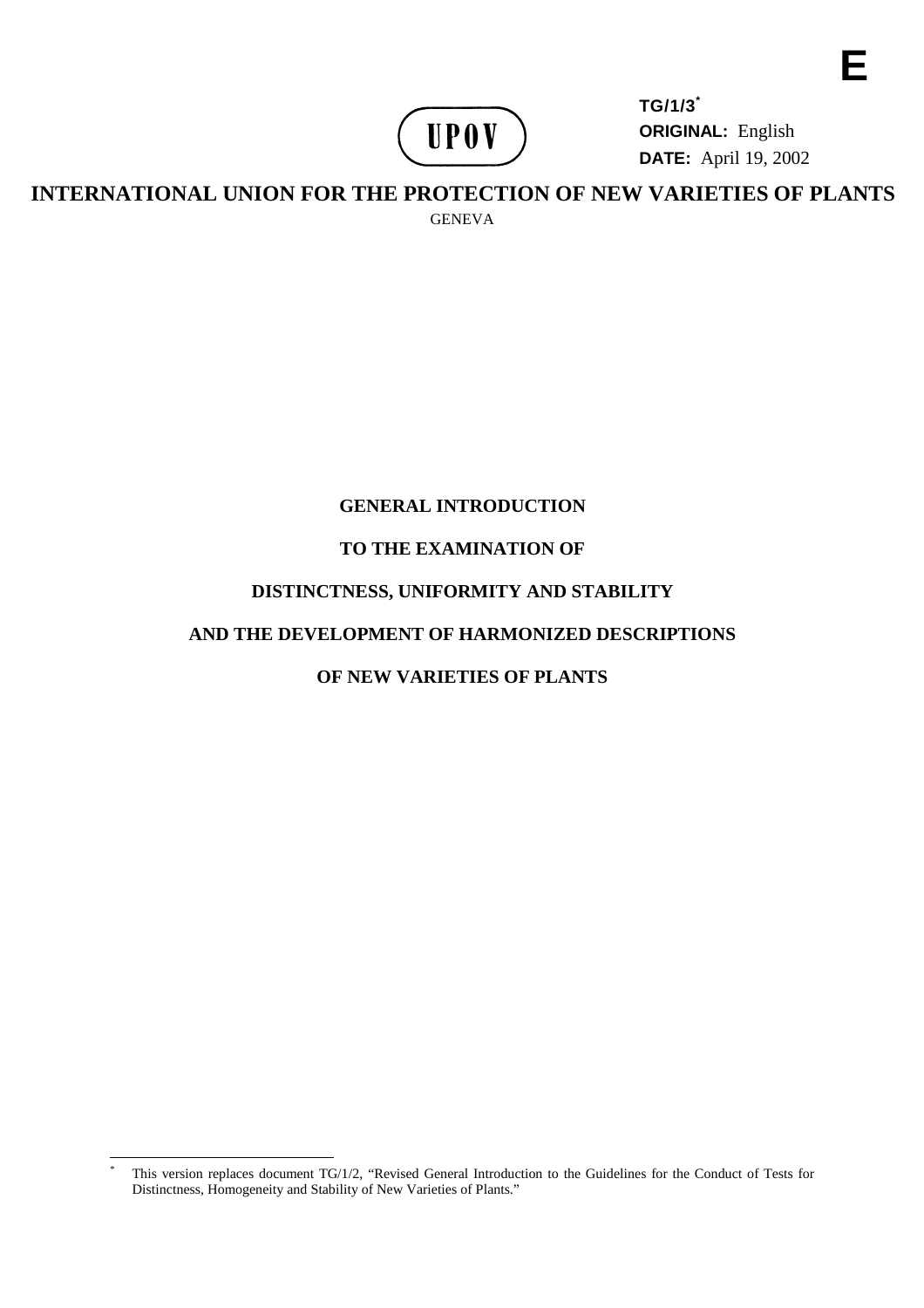

**TG/1/3\* ORIGINAL:** English **DATE:** April19,2002

INTERNATIONAL UNIONFORTHE PROTECTION OF NEW VARIETIES OF PLANTS GENEVA

# **GENERAL INTRODUCTION**

# **TO THE EXAMINATION O F**

# **DISTINCTNESS, UNIFOR MITY AND STABILITY**

# **AND THE DEVELOPMENT OF HARMONIZED DESCRI PTIONS**

# **OFNEWVARIETIESOF PLANTS**

<sup>\*</sup> This version replaces document TG/1/2, "Revised General Introduction to the Guidelines for the Conduct of Tests for Distinctness, Homogeneity and Stability of New Varieties of Plants."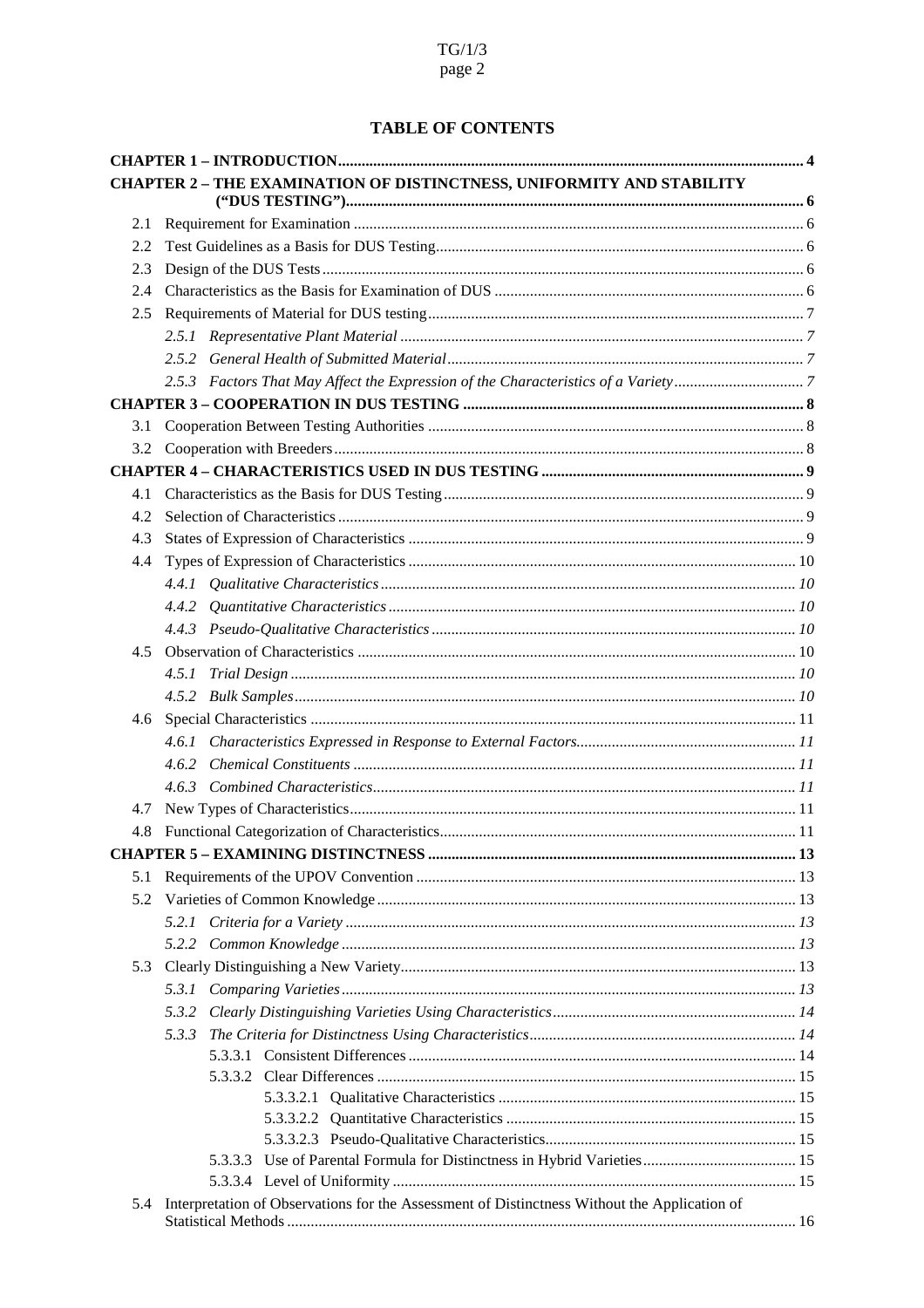# **TABLEOFCONTENTS**

|     |                                                                                       | CHAPTER2 -THEEXAM INATIONOFDISTINCTN ESS, UNIFORMITYAND STABILITY                                              |  |  |
|-----|---------------------------------------------------------------------------------------|----------------------------------------------------------------------------------------------------------------|--|--|
|     |                                                                                       |                                                                                                                |  |  |
| 2.1 |                                                                                       |                                                                                                                |  |  |
| 2.2 |                                                                                       |                                                                                                                |  |  |
| 2.3 |                                                                                       |                                                                                                                |  |  |
| 2.4 |                                                                                       |                                                                                                                |  |  |
| 2.5 |                                                                                       |                                                                                                                |  |  |
|     |                                                                                       |                                                                                                                |  |  |
|     |                                                                                       |                                                                                                                |  |  |
|     |                                                                                       | 2.5.3 FactorsThatMayA ffecttheExpressionoftheCharacteristicsofaVariety manufactures.7                          |  |  |
|     |                                                                                       | CHAPTER3 -COOPERAT IONINDUSTESTING manufactureation and content and the set of the set of the set of the set o |  |  |
| 3.1 |                                                                                       |                                                                                                                |  |  |
| 3.2 |                                                                                       |                                                                                                                |  |  |
|     |                                                                                       |                                                                                                                |  |  |
| 4.1 |                                                                                       |                                                                                                                |  |  |
| 4.2 |                                                                                       |                                                                                                                |  |  |
| 4.3 |                                                                                       |                                                                                                                |  |  |
| 4.4 |                                                                                       |                                                                                                                |  |  |
|     |                                                                                       |                                                                                                                |  |  |
|     |                                                                                       |                                                                                                                |  |  |
|     |                                                                                       |                                                                                                                |  |  |
| 4.5 |                                                                                       |                                                                                                                |  |  |
|     | 4.5.1                                                                                 |                                                                                                                |  |  |
|     |                                                                                       |                                                                                                                |  |  |
| 4.6 |                                                                                       |                                                                                                                |  |  |
|     |                                                                                       |                                                                                                                |  |  |
|     | 4.6.2                                                                                 |                                                                                                                |  |  |
|     |                                                                                       |                                                                                                                |  |  |
| 4.7 |                                                                                       |                                                                                                                |  |  |
| 4.8 |                                                                                       |                                                                                                                |  |  |
|     |                                                                                       |                                                                                                                |  |  |
| 5.1 |                                                                                       |                                                                                                                |  |  |
| 5.2 |                                                                                       |                                                                                                                |  |  |
|     |                                                                                       |                                                                                                                |  |  |
|     |                                                                                       |                                                                                                                |  |  |
| 5.3 |                                                                                       |                                                                                                                |  |  |
|     |                                                                                       |                                                                                                                |  |  |
|     | 5.3.2                                                                                 |                                                                                                                |  |  |
|     |                                                                                       |                                                                                                                |  |  |
|     | 5.3.3                                                                                 |                                                                                                                |  |  |
|     |                                                                                       |                                                                                                                |  |  |
|     |                                                                                       |                                                                                                                |  |  |
|     |                                                                                       |                                                                                                                |  |  |
|     |                                                                                       |                                                                                                                |  |  |
|     |                                                                                       | 5.3.3.3 UseofParentalFormulaforDistinctnessinHybridVarieties manufacture.netwith 15                            |  |  |
|     |                                                                                       |                                                                                                                |  |  |
|     | 5.4 InterpretationofObservationsfortheAssessmentofDistinctnessWithouttheApplicationof |                                                                                                                |  |  |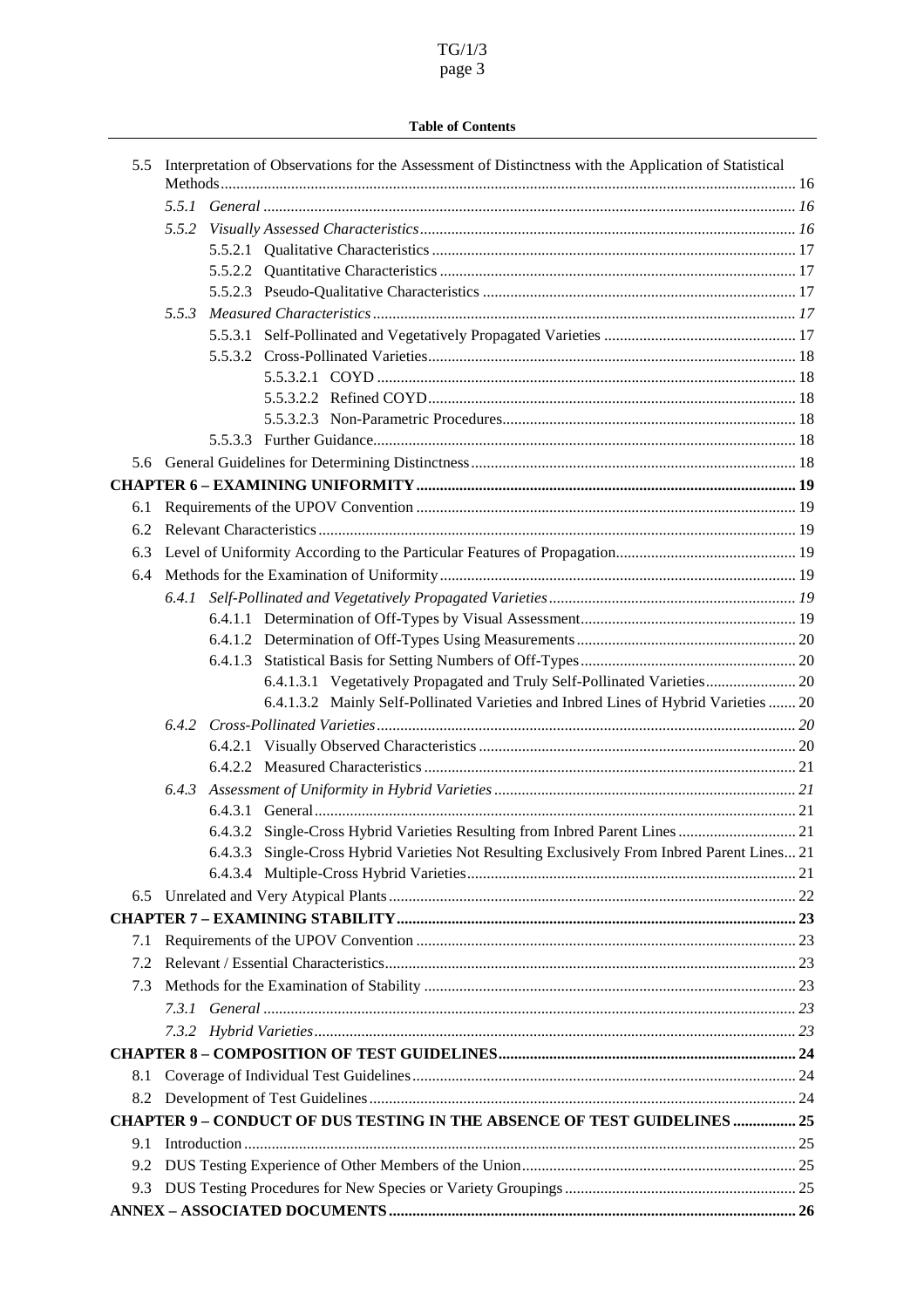# TG/1/3 page 3

#### **Table of Contents**

| 5.5 | InterpretationofObservationsfortheAssessmentofDistinctnesswiththeApplicationofStatistic |            |  |
|-----|-----------------------------------------------------------------------------------------|------------|--|
|     |                                                                                         |            |  |
|     | 5.5.2                                                                                   |            |  |
|     |                                                                                         |            |  |
|     |                                                                                         |            |  |
|     |                                                                                         |            |  |
|     | 5.5.3                                                                                   |            |  |
|     |                                                                                         |            |  |
|     |                                                                                         |            |  |
|     |                                                                                         |            |  |
|     |                                                                                         |            |  |
|     |                                                                                         |            |  |
|     |                                                                                         |            |  |
|     |                                                                                         |            |  |
|     |                                                                                         |            |  |
| 6.1 |                                                                                         |            |  |
| 6.2 |                                                                                         |            |  |
| 6.3 | LevelofUniformityAccordingtotheParticularFeaturesofPropagation manufactures (19         |            |  |
| 6.4 |                                                                                         |            |  |
|     | 6.4.1                                                                                   |            |  |
|     |                                                                                         |            |  |
|     |                                                                                         |            |  |
|     |                                                                                         |            |  |
|     | 6.4.1.3.1 VegetativelyPropagatedandTrulySelf -PollinatedVarieties  20                   |            |  |
|     | 6.4.1.3.2 MainlySelf-PollinatedVarietiesandInbredLinesofHy bridVarieties  20            |            |  |
|     |                                                                                         |            |  |
|     |                                                                                         |            |  |
|     |                                                                                         |            |  |
|     | 6.4.3                                                                                   |            |  |
|     |                                                                                         |            |  |
|     | 6.4.3.2 Single-CrossHybridVarietiesResultingfromInbredParentLines manufacturer 21       |            |  |
|     | 6.4.3.3 Single-CrossHybridVari etiesNotResultingExclusivelyFromInbredParentLines        | $\dots 21$ |  |
|     |                                                                                         |            |  |
|     |                                                                                         |            |  |
|     |                                                                                         |            |  |
| 7.1 |                                                                                         |            |  |
| 7.2 |                                                                                         |            |  |
| 7.3 |                                                                                         |            |  |
|     |                                                                                         |            |  |
|     |                                                                                         |            |  |
|     |                                                                                         |            |  |
| 8.1 |                                                                                         |            |  |
| 8.2 |                                                                                         |            |  |
|     | CHAPTER9 -CONDUCT OFDUSTESTINGINTH EABSENCEOFTESTGU IDELINES 25                         |            |  |
| 9.1 |                                                                                         |            |  |
| 9.2 |                                                                                         |            |  |
| 9.3 | DUSTestingProceduresforNewSpeciesorVarietyGroupings manufactures.com/manufactures-25    |            |  |
|     |                                                                                         |            |  |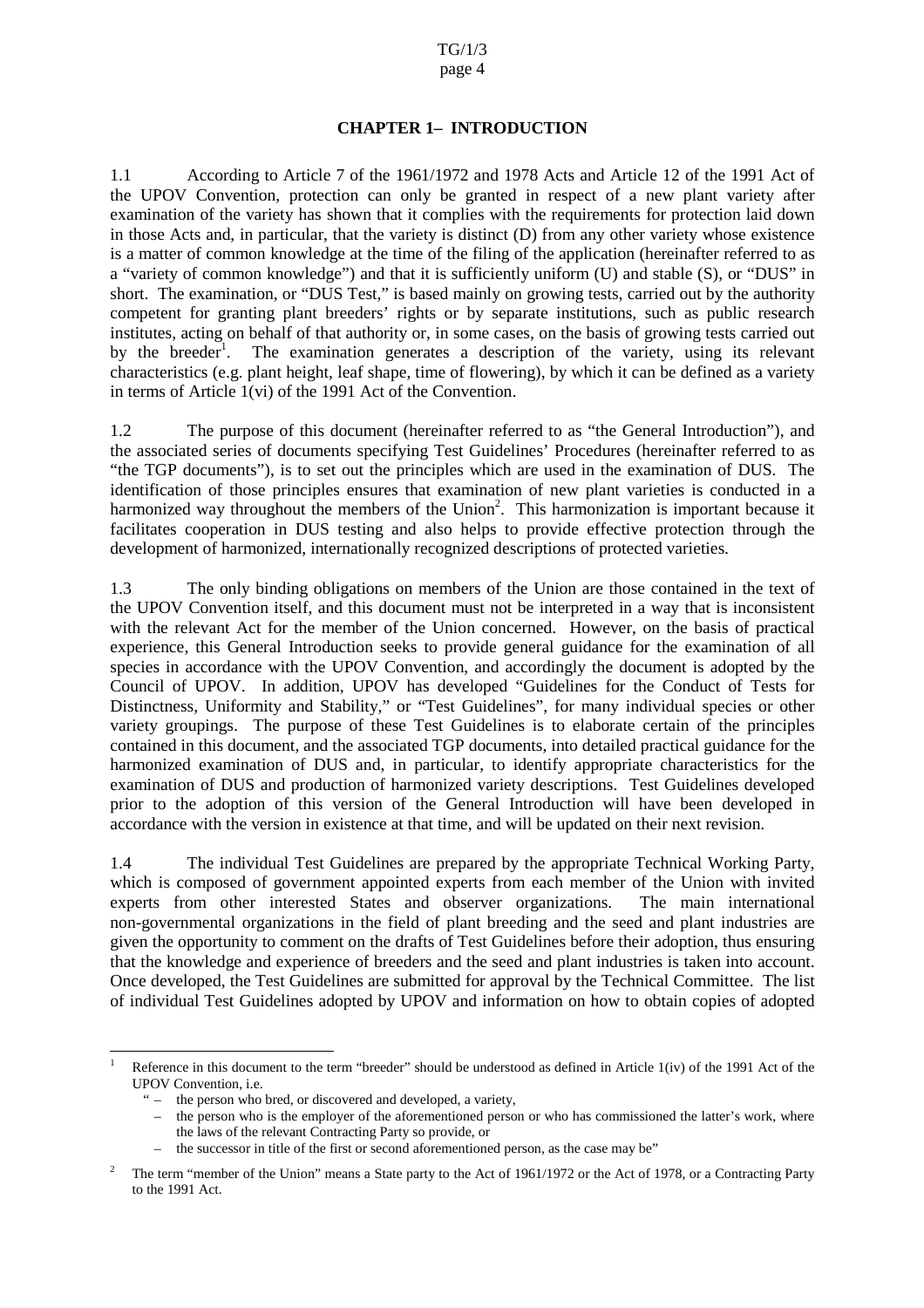#### **CHAPTER 1 – INTRODUC TION**

<span id="page-3-0"></span>1.1 According to Article 7 of the 196 1/1972 and 1978 Acts and Article 12 of the 1991 Act of the UPOV Convention, protection can only be granted in respect of a new plant variety after examination of the variety has shown that it complies with the requirements for protection laid down in those Acts and, in particular, that the variety is distinct (D) from any other variety whose existence is a matter of common knowledge at the time of the filing of the application (hereinafter referred to as a "variety of common knowledge") and that it is sufficed in the uniform (U) and stable (S), or "DUS" in short. The examination, or "DUS Test," is based mainly on growing tests, carried out by the authority competent for granting plant breeders' rights or by separate institutions, such as public research institutes, acting on behalf of that authority or, in some cases, on the basis of growing tests carried out by the breeder<sup>1</sup>. The examination generates a description of the variety, using its relevant characteristics (e.g. plant height, leaf shape, time of flowe ring), by which it can be defined as a variety interms of Article 1(vi) of the 1991 Act of the Convention.

1.2 The purpose of this document (hereinafter referred to as "the General Introduction"), and the associated series of documents specifying Test Gu idelines' Procedures (hereinafter referred to as "the TGP documents"), is to set out the principles which are used in the examination of DUS. The identification of those principles ensures that examination of new plant varieties is conducted in a harmonized way throughout the members of the Union <sup>2</sup> <sup>2</sup>. This harmonization is important because it facilitates cooperation in DUS testing and also helps to provide effective protection through the development of harmonized, internationally recognized descriptions of protected varieties.

1.3 The only binding obligations on members of the Union are those contained in the text of the UPOV Convention itself, and this document must not be interpreted in a way that is inconsistent with the relevant Act for the member of  $t$  he Union concerned. However, on the basis of practical experience, this General Introduction seeks to provide general guidance for the examination of all species in accordance with the UPOV Convention, and accordingly the document is adopted by the Council of UPOV. In addition, UPOV has developed "Guidelines for the Conduct of Tests for Distinctness, Uniformity and Stability," or "Test Guidelines", for many individual species or other variety groupings. The purpose of these Test Guidelines is to elaborat e certain of the principles contained in this document, and the associated TGP documents, into detailed practical guidance for the harmonized examination of DUS and, in particular, to identify appropriate characteristics for the examination of DUS and prod uction of harmonized variety descriptions. Test Guidelines developed prior to the adoption of this version of the General Introduction will have been developed in accordance with the version in existence at that time, and will be updated on the irrext rev ision.

1.4 The individual Test Guidelines are prepared by the appropriate Technical Working Party, which is composed of government appointed experts from each member of the Union with invited experts from other interested States and observer organizations . The main international non-governmental organizations in the field of plant breeding and the seed and plant industries are given the opportunity to comment on the drafts of Test Guidelines before their adoption, thus ensuring that the knowledge and expe rience of breeders and the seed and plant industries is taken into account. Once developed, the Test Guidelines are submitted for approval by the Technical Committee. The list of individual Test Guidelines adopted by UPOV and information on how to obtain copies of adopted

the successor in title of the first or second aforementioned person, as the case may be"

<sup>1</sup> Reference in this document to the term "breeder" should be understood as defined in Article 1(iv) of the 1991 Act of the UPOV Convention, i.e.

<sup>&</sup>quot; – the person who bred, or discovered and developed, avariety,

the person who is the employer of the aforementioned person or who has commissioned the latter's wo rk, where the laws of the relevant Contracting Party so provide, or

<sup>2</sup> The term "member of the Union" means a State party to the Act of 1961/1972 or the Act of 197 8, or a Contracting Party to the 1991 Act.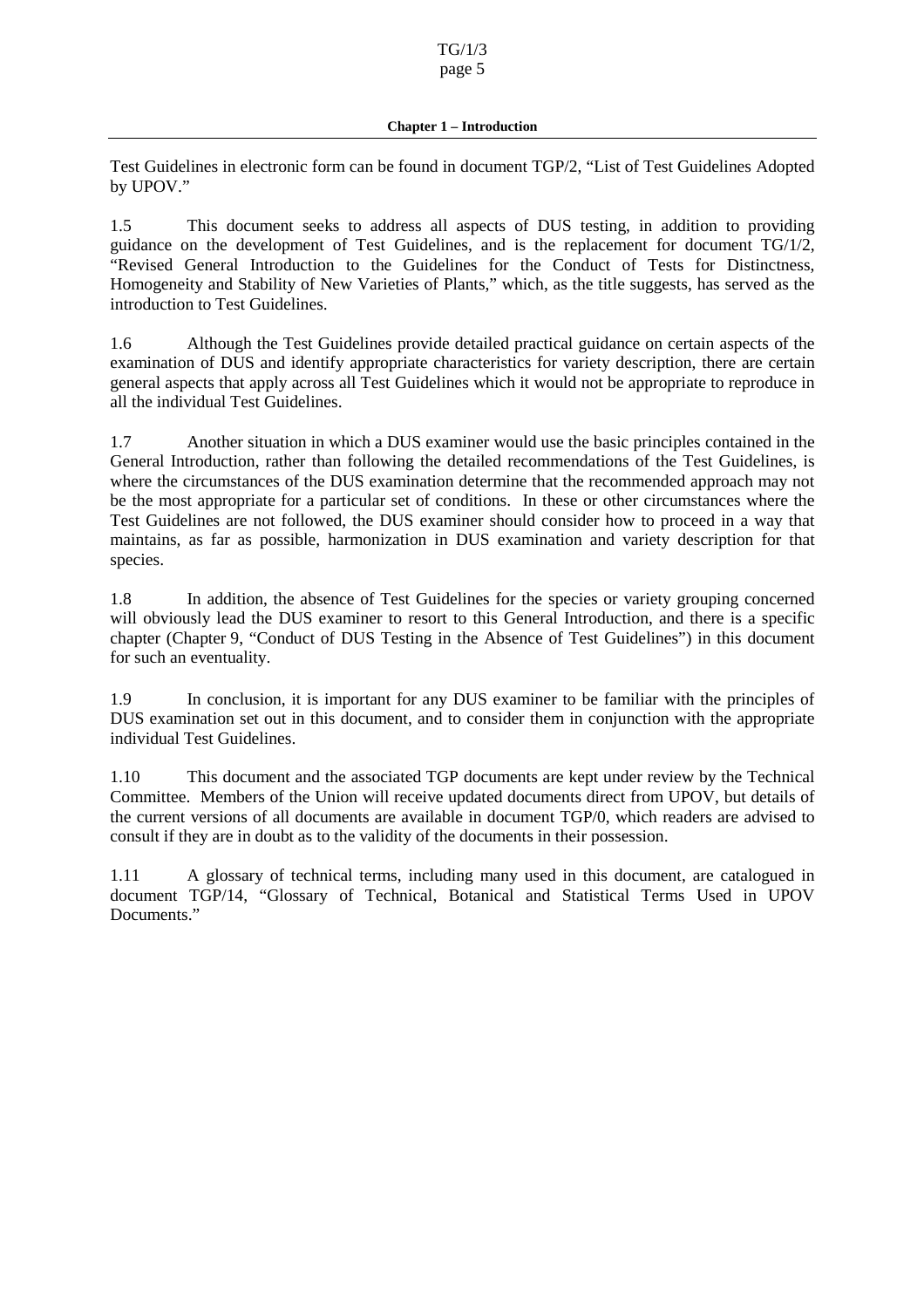Test Guidelines in electronic form can be found in document TGP/2, "List of Test Guidelines Adopted by UPOV."

1.5 This document seeks to address all aspects of DUS testing, in addition to providing guidance on the development of Test Gu idelines, and is the replacement for document TG/1/2, "Revised General Introduction to the Guidelines for the Conduct of Tests for Distinctness, Homogeneity and Stability of New Varieties of Plants," which, as the title suggests, has served as the introduction to Test Guidelines.

1.6 Although the Test Guidelines provide detailed practical guidance on certain aspects of the examination of DUS and identify appropriate characteristics for variety description, there are certain general aspects that apply acros s all Test Guidelines which it would not be appropriate to reproduce in all the individual Test Guidelines.

1.7 Another situation in which a DUS examiner would use the basic principles contained in the General Introduction, rather than following the detai led recommendations of the Test Guidelines, is where the circumstances of the DUS examination determine that the recommended approach may not be the most appropriate for a particular set of conditions. In these or other circumstances where the Test Guidel ines are not followed, the DUS examiner should consider how to proceed in a way that maintains, as far as possible, harmonization in DUS examination and variety description for that species.

1.8 In addition, the absence of Test Guidelines for the species or variety grouping concerned will obviously lead the DUS examiner to resort to this General Introduction, and there is a specific chapter (Chapter 9, "Conduct of DUS Testing in the Absence of Test Guidelines") in this document for such an eventuality.

1.9 In conclusion, it is important for any DUS examiner to be familiar with the principles of DUS examination set out in this document, and to consider them in conjunction with the appropriate individual Test Guidelines.

1.10 This document and the associate d TGP documents are kept under review by the Technical Committee. Members of the Union will receive updated documents direct from UPOV, but details of the current versions of all documents are available in document TGP/0, which readers are advised to consultif they are indoubt as to the validity of the documents in their possession.

1.11 A glossary of technical terms, including many used in this document, are catalogued in document TGP/14, "Glossary of Technical, Botanical and Statistical Terms Used in UPOV Documents."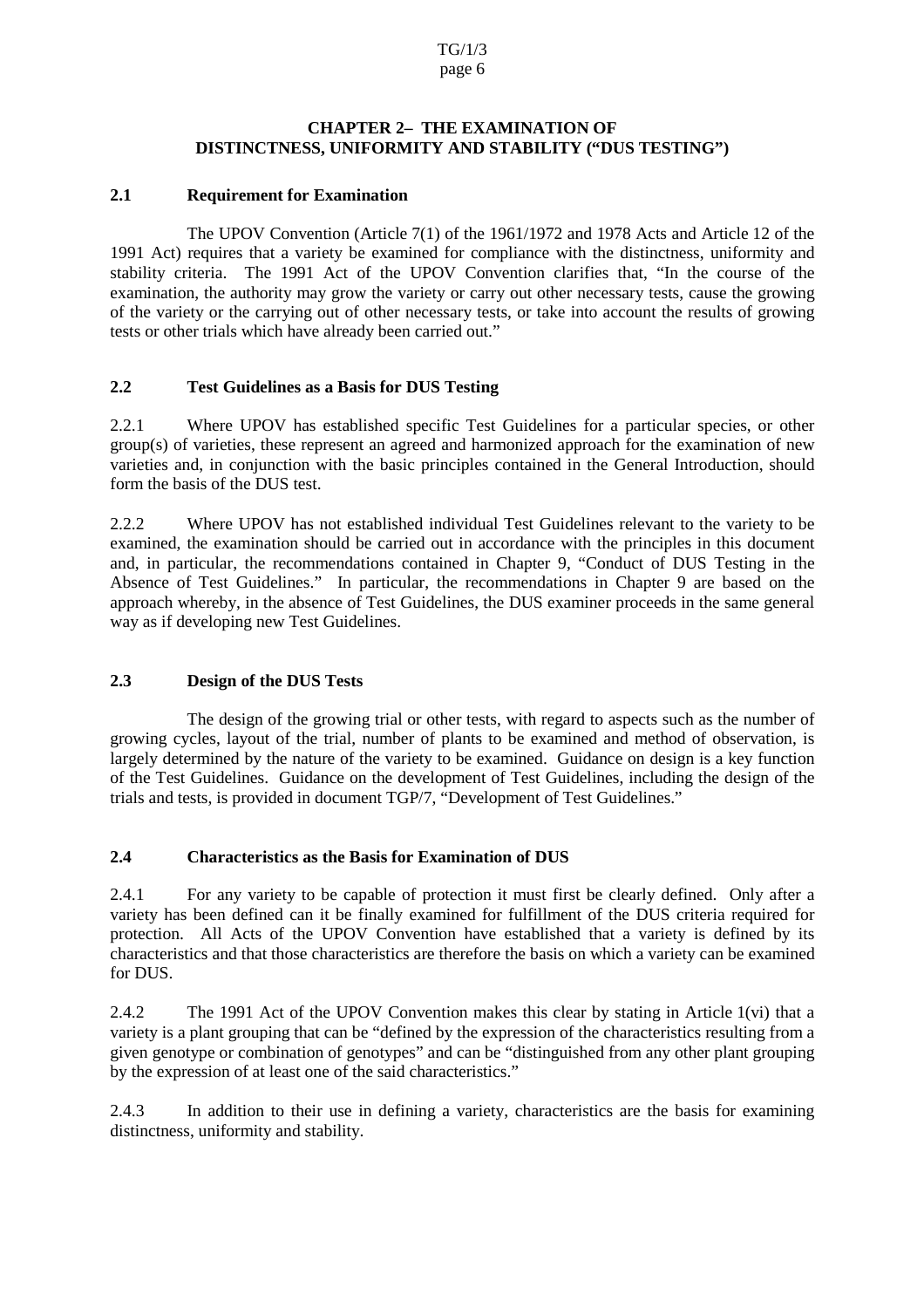#### **CHAPTER2 • THEEXAM INATIONOF DISTINCTNESS, UNIFOR MITY AND STABILITY ( "DUS TESTING")**

### <span id="page-5-0"></span>**2.1 Requirement for Examination**

The UPOV Convention (Article 7(1) of the 1961/1972 and 1978 Acts and Article 12 of the 1991 Act) requires that a vari ety be examined for compliance with the distinctness, uniformity and stability criteria. The 1991 Act of the UPOV Convention clarifies that, "In the course of the examination, the authority may grow the variety or carry out other necessary tests, cause th e growing of the variety or the carrying out of other necessary tests, or take into account the results of growing tests or other trials which have already been carried out."

### 2.2 TestGuidelines as a Basis for DUS Testing

2.2.1 Where UPOV has established specific Test Guidelines for a particular species, or other group(s) of varieties, these represent an agreed and harmonized approach for the examination of new varieties and, in conjunction with the basic principles contained in the General Introduction, should form the basis of the DUS test.

2.2.2 Where UPOV has not established individual Test Guidelines relevant to the variety to be examined, the examination should be carried out in accordance with the principles in this document and, in particular, the recommendations contained in Chapter 9, "Conduct of DUS Testing in the Absence of Test Guidelines." In particular, the recommendations in Chapter 9 are based on the approach whereby, in the absence of Test Guidelines, the DUS examiner proceeds in the sam e general way as if developing new Test Guidelines.

### 2.3 **Designofthe DUSTests**

The design of the growing trial or other tests, with regard to aspects such as the number of growing cycles, layout of the trial, number of plants to be examined and method of observation, is largely determined by the nature of the variety to be examined. Guidance on design is a key function of the Test Guidelines. Guidance on the development of Test Guidelines, including the design of the trials and tests, is provided ind ocument TGP/7, "Development of Test Guidelines."

### **2.4 Characteristics as the Basis for Examination of DUS**

2.4.1 For any variety to be capable of protection it must first be clearly defined. Only after a variety has been defined can it be finally examined for fulfillment of the DUS criteria required for protection. All Acts of the UPOV Convention have established that a variety is defined by its characteristics and that those characteristics are therefore the basis on which a variety can be examined for D US.

2.4.2 The 1991 Act of the UPOV Convention makes this clear by stating in Article 1(vi) that a variety is a plant grouping that can be "defined by the expression of the characteristics resulting from a given genotype or combination of genotypes" and can not "distinguished from any other plant grouping by the expression of at least one of the said characteristics."

2.4.3 In addition to their use in defining a variety, characteristics are the basis for examining distinctness, uniformity and stability.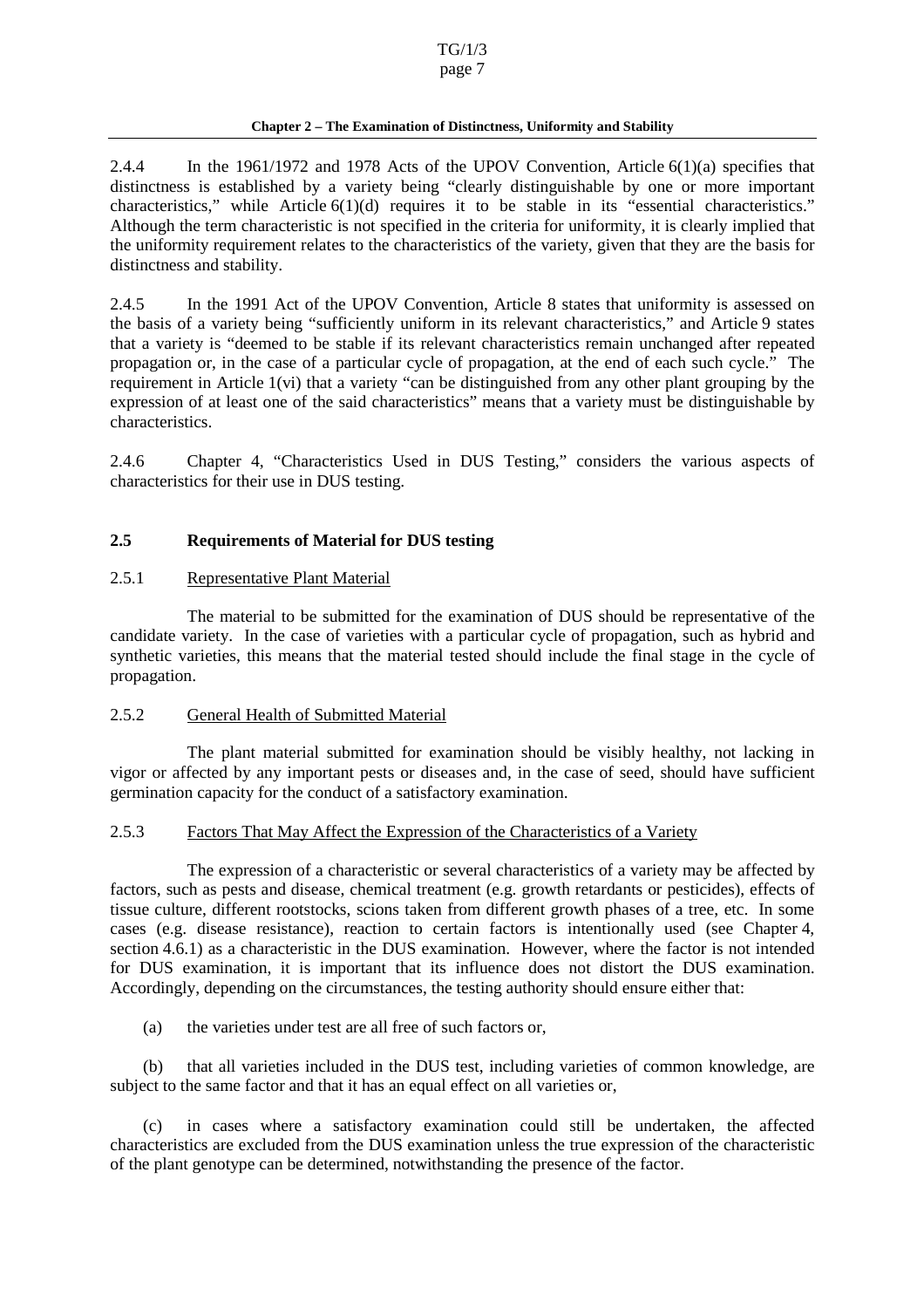#### **Chapter 2 – The Examination of Distinctness, Uniformity and Stability**

<span id="page-6-0"></span>2.4.4 In the 1961/1972 and 1978 Acts of the UPOV Convention, Article 6(1)(a) specifies that distinctness is established by a variety being "clearly distinguishable by one or more important characteristics," while Article  $6(1)(d)$  requires it to be stable in its "essential characteristics." Although the term characteristic is not specified in the criteria for uniformity, it is clearly implied that the uniformity requirement relates to the characteristics of the variety, given that they are the basis for distinctnessandstability.

2.4.5 In the 1991 Act of the UPOV Convention, Article 8 states that uniformity is assessed on the basis of a variety being "sufficiently uniform in its relevant characteristics," and Article 9 states that a variety is "deemed to be stable if its relevant characteristics remain unchanged after repeated propagation or, in the case of a particular cycle of propagation, at the end of each such cycle." The requirement in Article 1(vi) that a variety "can be distinguished from any other plant grouping by the expression of at least one of the said characteristics" means that a variety must be distinguishable by characteristics.

2.4.6 Chapter 4, "Characteristics Used in DUS Testing," considers the various aspects of characteristics fort heir use in DUS testing.

### **2.5 Requirements of Material for DUS testing**

#### 2.5.1 Representative Plant Material

The material to be submitted for the examination of DUS should be representative of the candidate variety. In the case of varieties with a particu lar cycle of propagation, such as hybrid and synthetic varieties, this means that the material tested should include the final stage in the cycle of propagation.

#### 2.5.2 General Health of Submitted Material

The plant material submitted for examination shou ld be visibly healthy, not lacking in vigor or affected by any important pests or diseases and, in the case of seed, should have sufficient germination capacity for the conduct of a satisfactory examination.

#### 2.5.3 Factors That May Affect the Expression of the Characteristics of a Variety

The expression of a characteristic or several characteristics of a variety may be affected by factors, such as pests and disease, chemical treatment (e.g. growth retardants or pesticides), effects of tissue culture, diffe rent rootstocks, scions taken from different growth phases of a tree, etc. In some cases (e.g. disease resistance), reaction to certain factors is intentionally used (see Chapter 4, section 4.6.1) as a characteristic in the DUS examination. However, wher ethe factor is not intended for DUS examination, it is important that its influence does not distort the DUS examination. Accordingly, depending on the circumstances, the testing authority should ensure either that:

(a) the varieties under test are all free of such factors or,

(b) that all varieties included in the DUS test, including varieties of common knowledge, are subject to the same factor and that it has an equal effect on all varieties or,

(c) in cases where a satisfactory examination could sti ll be undertaken, the affected characteristics are excluded from the DUS examination unless the true expression of the characteristic of the plant genotype can be determined, notwithstanding the presence of the factor.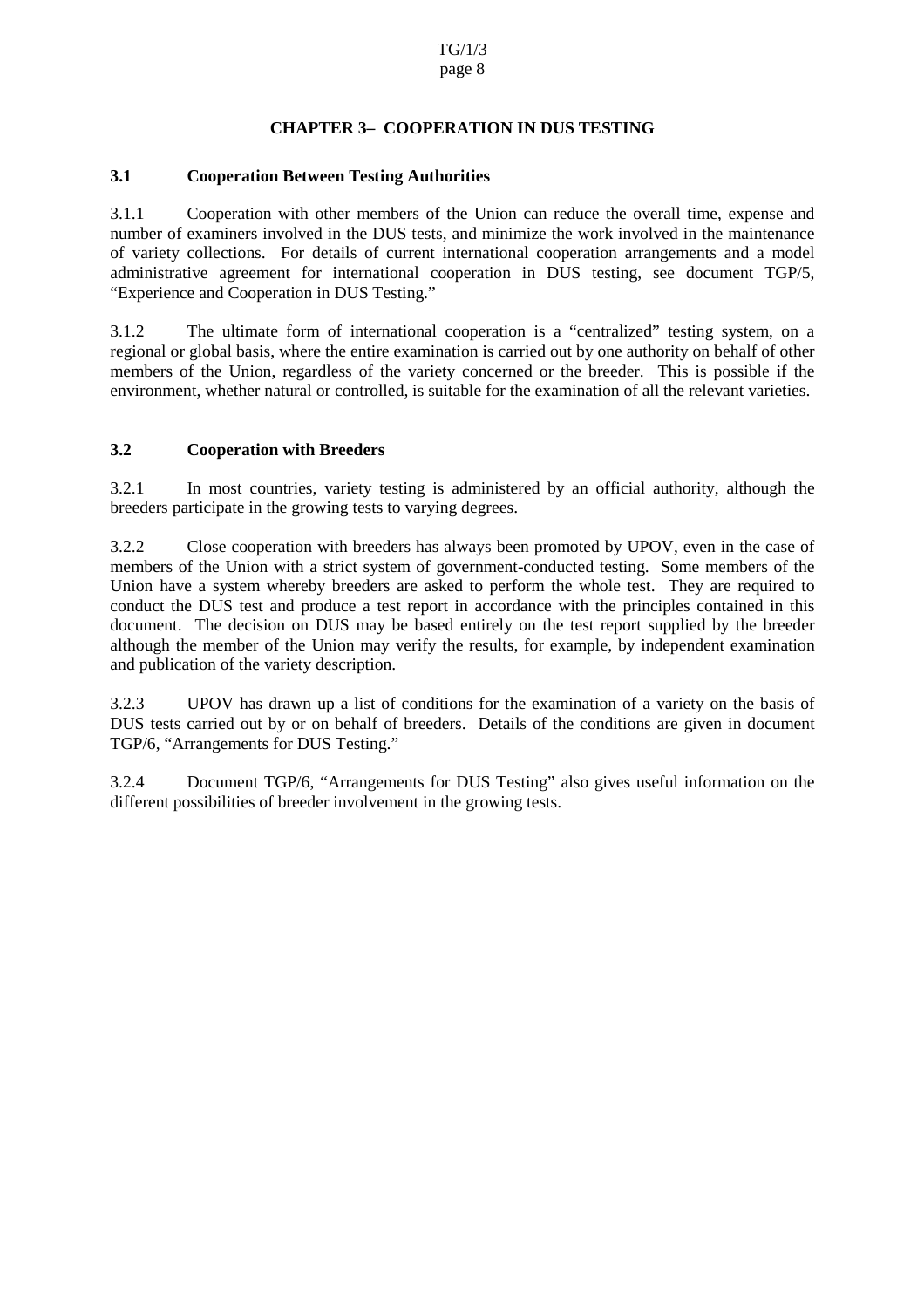# **CHAPTER 3 – COOPERAT ION IN DUS TESTI NG**

### <span id="page-7-0"></span>**3.1 Cooperation Between Testing Authorities**

3.1.1 Cooperation with other members of the Union can reduce the overall time, expense and number of examiners involved in the DUS tests, and minimize the work involved in the maintenance of variety collection s. For details of current international cooperation arrangements and a model administrative agreement for international cooperation in DUS testing, see document TGP/5, "Experience and Cooperation in DUST esting."

3.1.2 The ultimate form of internationa l cooperation is a "centralized" testing system, on a regional or global basis, where the entire examination is carried out by one authority on behalf of other members of the Union, regardless of the variety concerned or the breeder. This is possible if t environment, whethernatural or controlled, is suitable for the examination of all the relevant varieties.

### **3.2 Cooperation with Breeders**

3.2.1 In most countries, variety testing is administered by an official authority, although the breeders participa te in the growing tests to varying degrees.

3.2.2 Close cooperation with breeders has always been promoted by UPOV, even in the case of members of the Union with a strict system of government -conducted testing. Some members of the Union have a system whe reby breeders are asked to perform the whole test. They are required to conduct the DUS test and produce a test report in accordance with the principles contained in this document. The decision on DUS may be based entirely on the test report supplied by the breeder although the member of the Union may verify the results, for example, by independent examination and publication of the variety description.

3.2.3 UPOV has drawn up a list of conditions for the examination of a variety on the basis of DUS test s carried out by or on behalf of breeders. Details of the conditions are given in document TGP/6, "Arrangements for DUS Testing."

3.2.4 Document TGP/6, "Arrangements for DUS Testing" also gives useful information on the different possibilities of breeder involvement in the growing tests.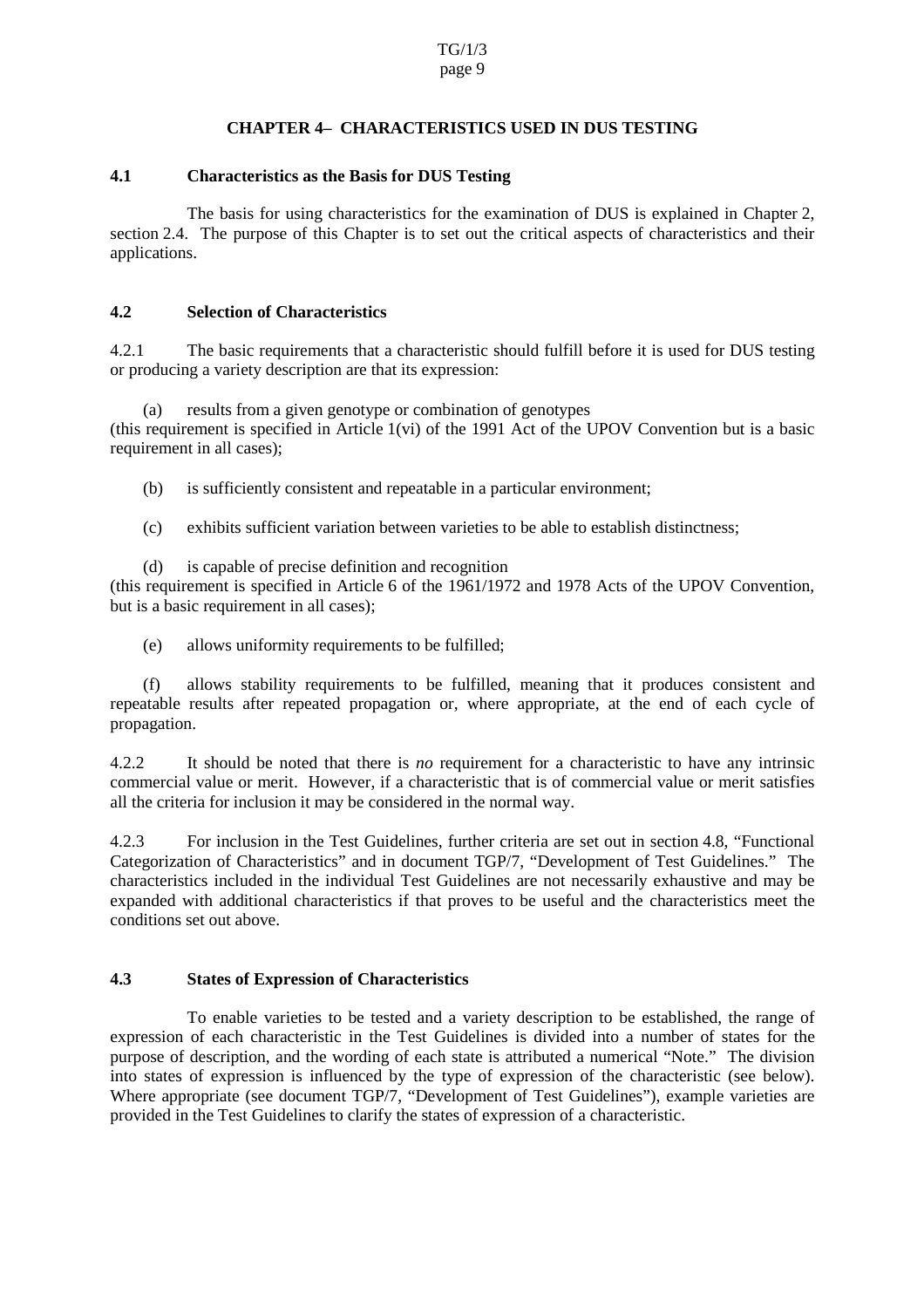#### **CHAPTER4 • CHARACTE RISTICSUSEDINDUS • TESTING**

#### <span id="page-8-0"></span>**4.1 Characteristics as the Basis for DUS Testing**

The basis for using characteristics for the examination of DUS is explained in Chapter 2, section 2.4. The purpose of t his Chapter is to set out the critical aspects of characteristics and their applications.

#### **4.2 Selection of Characteristics**

4.2.1 The basic requirements that a characteristic should fulfill before it is used for DUS testing or producing a variety descript ion are that its expression:

(a) results from a given genotype or combination of genotypes  $(this required line method in Article 1(vi) of the 1991 (Actof the UPOV Convention but is abasic)$ requirementinall cases);

(b) is sufficiently consistent and repeatable in a particular environment;

- (c) exhibits sufficient variation between varieties to be able to establish distinctness;
- (d) is capable of precise definition and recognition

(this requirement is specified in Article 6of the 1961/1972 and 1978 Acts of the UPOV Convention, but is a basic requirement in all cases);

(e) allows uniformity requirements to be fulfilled;

(f) allows stability requirements to be fulfilled, meaning that it produces consistent and repeatable results after repeated propa gation or, where appropriate, at the end of each cycle of propagation.

4.2.2 It should be noted that there is *no* requirement for a characteristic to have any intrinsic commercial value or merit. However, if a characteristic that is of commercial value or merit satisfies all the criteria for inclusion it may be considered in the normal way.

4.2.3 For inclusion in the Test Guidelines, further criteria are set out in section 4.8, "Functional<br>Categorization of Characteristics" and indocument TGP/7, "Develop ment of Test Guidelines." The Categorization of Characteristics" and in document TGP/7, "Develop characteristics included in the individual Test Guidelines are not necessarily exhaustive and may be expanded with additional characteristics if that proves to be useful and the characteristics meet the conditions set outabo ve.

### **4.3 States of Expression of Characteristics**

To enable varieties to be tested and a variety description to be established, the range of expression of each characteristic in the Test Guidelines is divided into a number of states for the purpose of des cription, and the wording of each state is attributed a numerical "Note." The division into states of expression is influenced by the type of expression of the characteristic (see below). Where appropriate (see document TGP/7, "Development of Test Guidel ines"), example varieties are provided in the Test Guidelines to clarify the states of expression of a characteristic.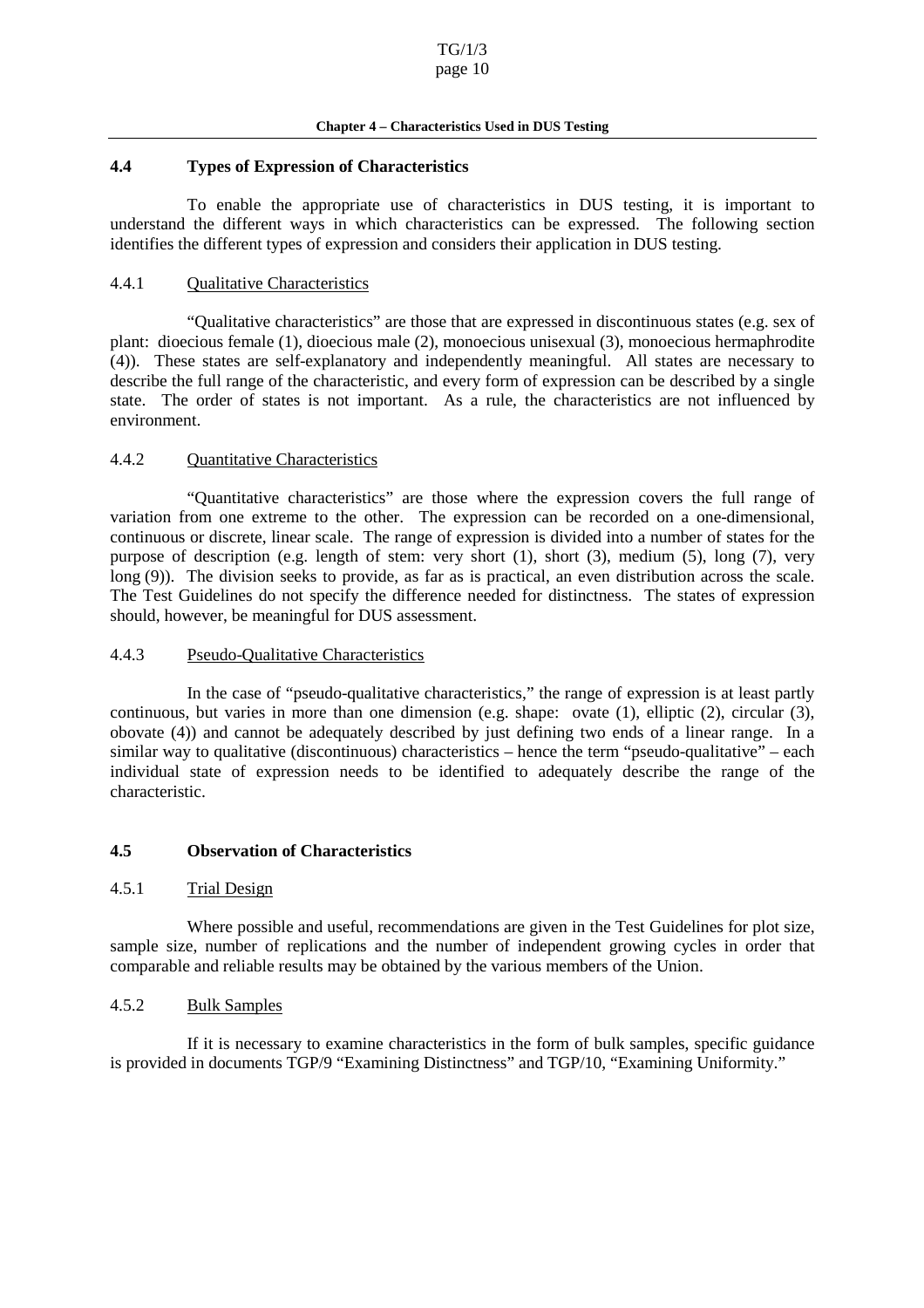#### **Chapter 4 – Characteristics Used in DUS Testing**

#### <span id="page-9-0"></span>**4.4 Types of Expression of Characteristics**

To enable the appropriate use of characteristics in DUS testing, it is important to understand the different ways in which characteristics can be expressed. The following section identifies the different types of expression and considers their application in DUS testing.

#### 4.4.1 Qualitative Characteristics

"Qualitative characteristics" are thos e that are expressed in discontinuous states (e.g. sex of plant: dioecious female (1), dioecious male (2), monoecious unisexual (3), monoecious hermaphrodite (4)). These states are self -explanatory and independently meaningful. All states are necessary to describe the full range of the characteristic, and every form of expression can be described by a single state. The order of states is not important. As a rule, the characteristics are not influenced by environment.

#### 4.4.2 Quantitative Characteristics

"Quantitative characteristics" are those where the expression covers the full range of variation from one extreme to the other. The expression can be recorded on a one -dimensional, continuous or discrete, linear scale. The range of expression is divide dinto a number of states for the purpose of description (e.g. length of stem: very short (1), short (3), medium (5), long (7), very long (9)). The division seeks to provide, as far as is practical, an even distribution across the scale. The Test Guideli nes do not specify the difference needed for distinctness. The states of expression should, however, be meaningful for DUS assessment.

#### 4.4.3 Pseudo-Qualitative Characteristics

In the case of "pseudo -qualitative characteristics," the range of expression is at least partly continuous, but varies in more than one dimension (e.g. shape: ovate (1), elliptic (2), circular (3), obovate (4)) and cannot be adequately described by just defining two ends of a linear range. In a similar way to qualitative (discont inuous) characteristics – hence the term "pseudo -qualitative" – each individual state of expression needs to be identified to adequately describe the range of the characteristic.

#### **4.5 Observation of Characteristics**

#### 4.5.1 Trial Design

Where possible and useful, recommendations are given in the Test Guidelines for plotsize, sample size, number of replications and the number of independent growing cycles in order that comparable and reliable results may be obtained by the various members of the Union.

#### 4.5.2 Bulk Samples

If it is necessary to examine characteristics in the form of bulk samples, specific guidance is provided indocuments TGP/9 "Examining Distinctness" and TGP/10, "Examining Uniformity."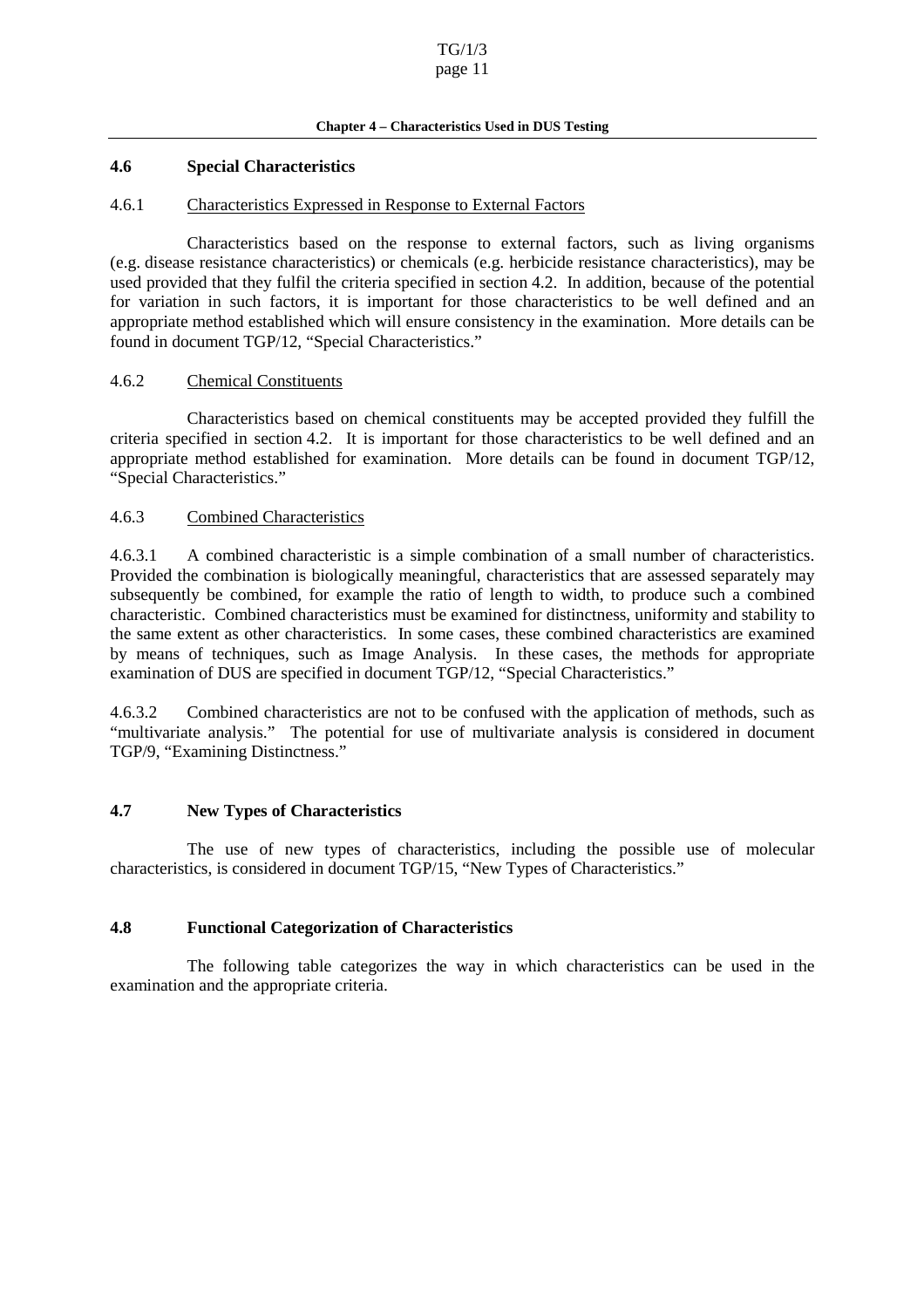#### Chapter<sup>4</sup> – Characteristics Used in DUS Testing

#### <span id="page-10-0"></span>**4.6 Special Characteristics**

#### 4.6.1 Characteristics Ex pressed in Response to External Factors

Characteristics based on the response to external factors, such as living organisms (e.g. disease resistance characteristics) or chemicals (e.g. herbicide resistance characteristics), may be used provided that they fulfil the criteria specified in section 4.2. In addition, because of the potential for variation in such factors, it is important for those characteristics to be well defined and an appropriate method established which will ensure consistency in the exam ination. More details can be found indocument TGP/12, "Special Characteristics."

#### 4.6.2 Chemical Constituents

Characteristics based on chemical constituents may be accepted provided they fulfill the criteria specified in section 4.2. It is important fo r those characteristics to be well defined and an appropriate method established for examination. More details can be found in document TGP/12, "Special Characteristics."

#### 4.6.3 Combined Characteristics

4.6.3.1 A combined characteristic is a simple combin ation of a small number of characteristics. Provided the combination is biologically meaningful, characteristics that are assessed separately may subsequently be combined, for example the ratio of length to width, to produce such a combined characteristic. Combined characteristics must be examined for distinctness, uniformity and stability to the same extent as other characteristics. In some cases, these combined characteristics are examined by means of techniques, such as Image Analysis. In these cases , the methods for appropriate examination of DUS are specified indocument TGP/12, "Special Characteristics."

4.6.3.2 Combined characteristics are not to be confused with the application of methods, such as "multivariate analysis." The potential for use of multivariate analysis is considered in document TGP/9, "Examining Distinctness."

### **4.7 New Types of Characteristics**

The use of new types of characteristics, including the possible use of molecular characteristics, is considered indocument TGP/15, "New Types of Characteristics."

#### **4.8 Functional Categorization of Characteristics**

The following table categorizes the way in which characteristics can be used in the examination and the appropriate criteria.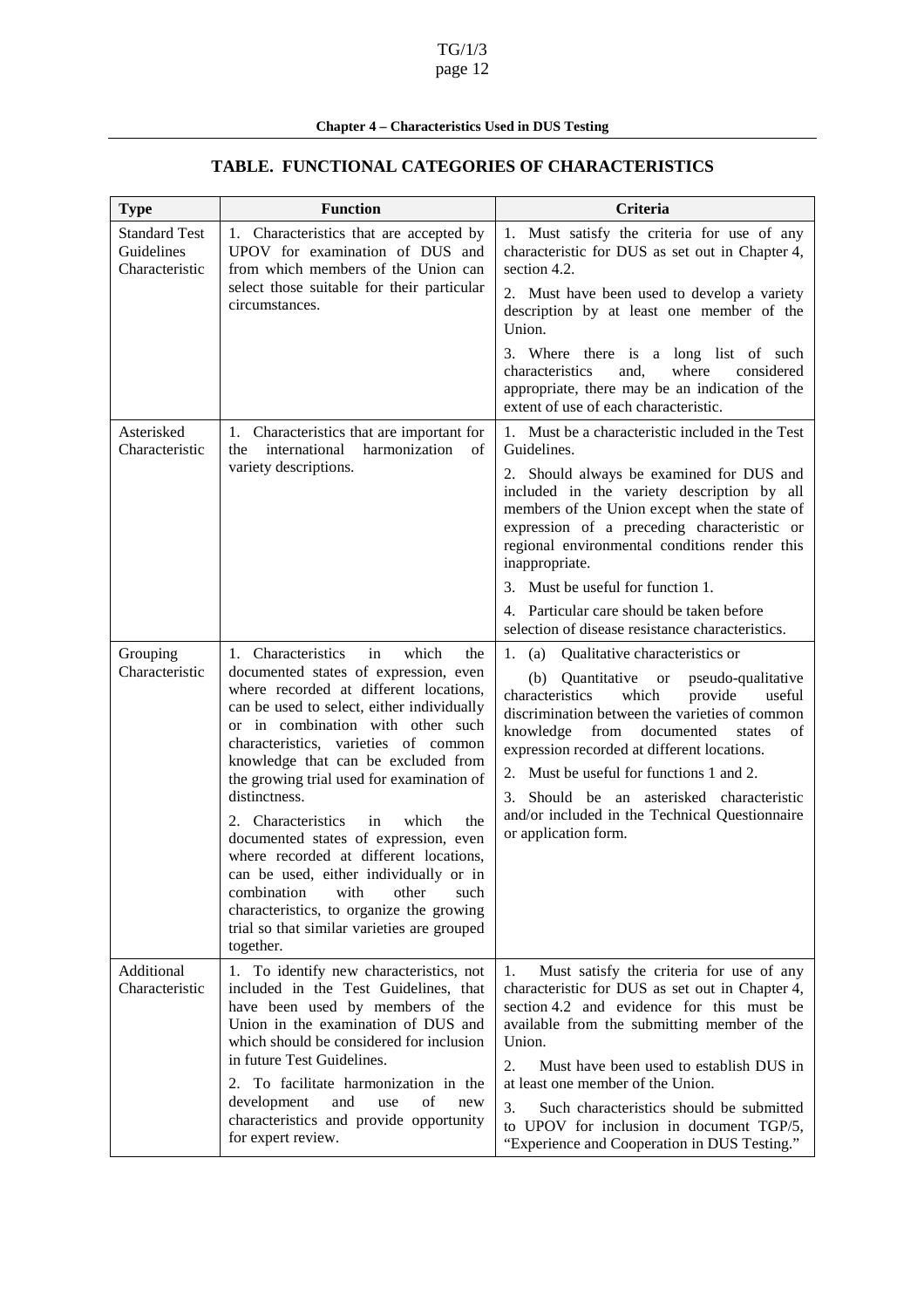# Chapter4 – Characteristics Used in DUS Testing

| <b>Type</b>                                         | <b>Function</b>                                                                                                                                                                                                                                                                                                                                                                                                                                                                                                                                                                                                                                                           | <b>Criteria</b>                                                                                                                                                                                                                                                                                                                                                                                                                                     |
|-----------------------------------------------------|---------------------------------------------------------------------------------------------------------------------------------------------------------------------------------------------------------------------------------------------------------------------------------------------------------------------------------------------------------------------------------------------------------------------------------------------------------------------------------------------------------------------------------------------------------------------------------------------------------------------------------------------------------------------------|-----------------------------------------------------------------------------------------------------------------------------------------------------------------------------------------------------------------------------------------------------------------------------------------------------------------------------------------------------------------------------------------------------------------------------------------------------|
| <b>StandardTest</b><br>Guidelines<br>Characteristic | 1. Characteristics that are accepted by<br>UPOV for examination of DUS and<br>from which members of the Union can<br>select those suitable for their particular<br>circumstances.                                                                                                                                                                                                                                                                                                                                                                                                                                                                                         | 1. Must satisfy the crit eria for use of any<br>characteristic for DUS as set out in<br>Chapter 4,<br>section 4.2.                                                                                                                                                                                                                                                                                                                                  |
|                                                     |                                                                                                                                                                                                                                                                                                                                                                                                                                                                                                                                                                                                                                                                           | 2. Must have been used to develop a variety<br>description by at least one member of the<br>Union.                                                                                                                                                                                                                                                                                                                                                  |
|                                                     |                                                                                                                                                                                                                                                                                                                                                                                                                                                                                                                                                                                                                                                                           | 3. Where there is a long list of such<br>and,<br>where<br>considered<br>characteristics<br>appropriate, there may be an indication of the<br>extentofuseofeachcharacteristic.                                                                                                                                                                                                                                                                       |
| Asterisked<br>Characteristic                        | 1. Characteristicsthatareimportantfor<br>the international harmonization of<br>varietydescriptions.                                                                                                                                                                                                                                                                                                                                                                                                                                                                                                                                                                       | 1. MustbeacharacteristicincludedintheTest<br>Guidelines.                                                                                                                                                                                                                                                                                                                                                                                            |
|                                                     |                                                                                                                                                                                                                                                                                                                                                                                                                                                                                                                                                                                                                                                                           | 2. Should always be examined for DUS and<br>included in the variety description by all<br>members of the Unionexcept when the state of<br>expression of a preceding characteristic or<br>regional environmental conditions render this<br>inappropriate.                                                                                                                                                                                            |
|                                                     |                                                                                                                                                                                                                                                                                                                                                                                                                                                                                                                                                                                                                                                                           | 3. Mustb eusefulforfunction<br>1.                                                                                                                                                                                                                                                                                                                                                                                                                   |
|                                                     |                                                                                                                                                                                                                                                                                                                                                                                                                                                                                                                                                                                                                                                                           | 4. Particular careshould be taken before<br>selectionofdiseaseresistancecharacteristics.                                                                                                                                                                                                                                                                                                                                                            |
| Grouping<br>Characteristic                          | 1. Characteristics<br>which<br>in<br>the<br>documented states of expression, even<br>where recorded at different locations,<br>canbe usedtoselect, either individually<br>or in combination with other such<br>characteristics, varieties of common<br>knowledge that can be excluded from<br>thegrowingtrialusedforexaminationof<br>distinctness.<br>2. Characteristics<br>which<br>in<br>the<br>documented states of exp ression, even<br>where recorded at different locations,<br>can be used, either individually or in<br>combination<br>with<br>other<br>such<br>characteristics, to organize the growing<br>trialsothatsimilar varieties are grouped<br>together. | 1.<br>Qualitativecharacteristicsor<br>(a)<br>Quantitative or pseudo -qualitative<br>(b)<br>characteristics<br>which<br>provide<br>useful<br>discriminationbetweenthevarietiesofcommon<br>knowledge from documented states<br>of<br>expressionrecordedatdifferentlocations.<br>2. Mustbeusefulforfunctions<br>$1$ and $2$ .<br>Should be a n asterisked characteristic<br>3.<br>and/or included in the Technical Questionnaire<br>orapplicationform. |
| Additional<br>Characteristic                        | To identify new characteristics, not<br>1.<br>included in the Test Guidelines, that<br>have been used by members of the<br>Union in the examinat ion of DUS and<br>whichshouldbeconsideredforinclusion<br>infutureTestGuidelines.<br>To facilitate harmonization in the<br>2.<br>development<br>and<br>of<br>use<br>new<br>characteristics and provide opportunity<br>forexpertreview.                                                                                                                                                                                                                                                                                    | Must satisfy the criteria for use of any<br>1.<br>characteristic for DUS as set out in<br>Chapter 4,<br>section 4.2 and evidence for this must be<br>available from the submitting member of the<br>Union.<br>2.<br>MusthavebeenusedtoestablishDUSin<br>atleastonememberoftheUnion.<br>3.<br>Such characteristics should be submitted<br>to UPOV for inclusion in document TGP/5,<br>"ExperienceandCooperationinDUSTesting."                        |

# **TABLE. FUNCTIONAL CATEGORIES OF CHARACTERISTICS**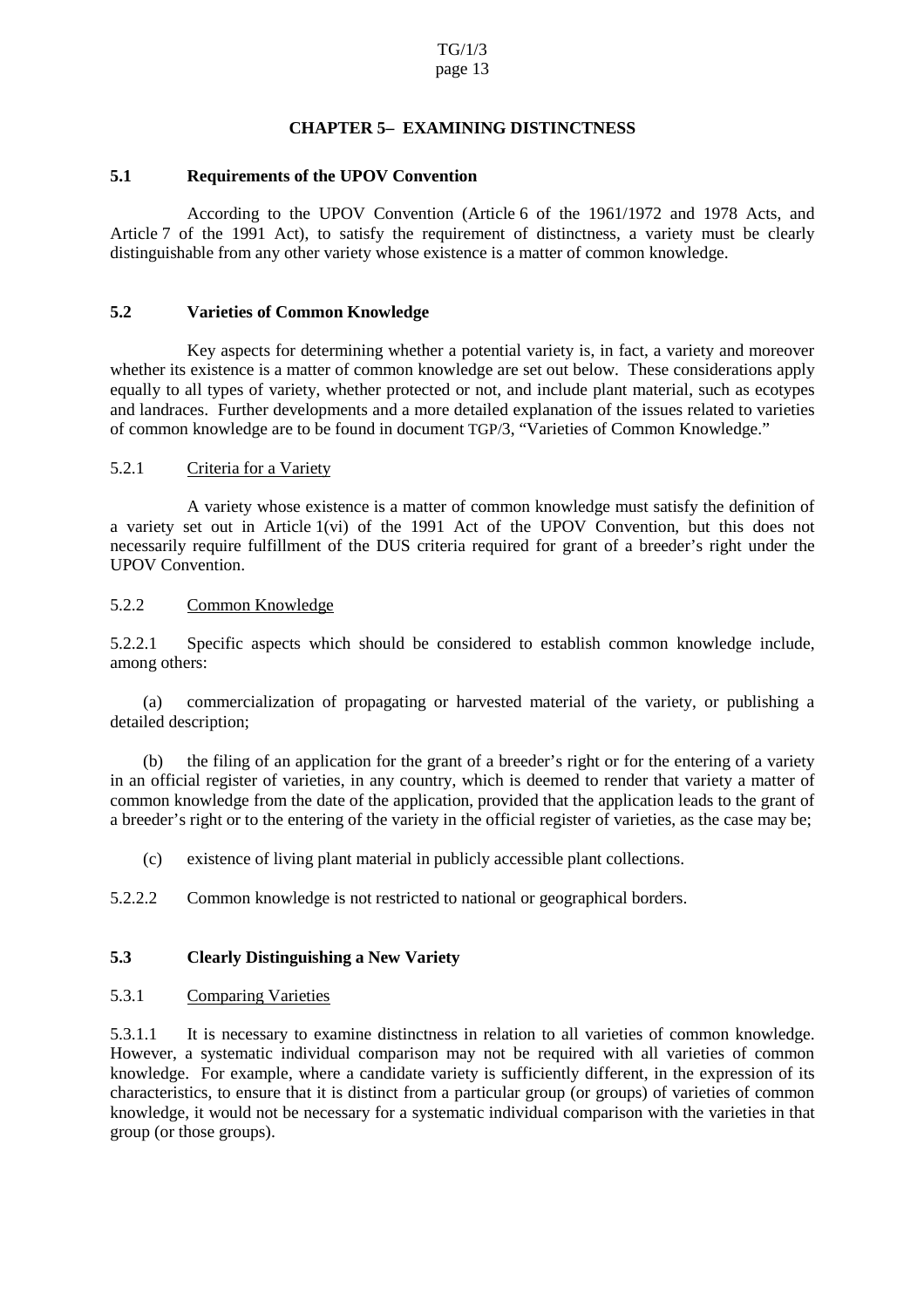# **CHAPTER5 EXAMININ GDISTINCTNESS**

#### <span id="page-12-0"></span>**5.1 Requirements of the UPOV Convention**

According to the UPOV Convention (Article 6 of the 1961/1972 and 1978 Acts, and Article 7 of the 1991 Act), to satisfy the requirement of distinctness, a variety must be clearly distinguishable from any other variety whose existence is a matter of common knowledge.

#### **5.2 Varieties of Common Knowledge**

Key aspects for determining whether a potential variety is, in fact, a variety and moreover whetherits existence is a matter of common knowledge are set out below. The seconsiderations apply equally to all types of variety, whether protected or not, and include plant material, such as ecotypes and landraces. Further developments and a more detailed explanation of the issues related to varieties of common knowledge are to be found indocument TGP/3, "Varieties of Common Knowledge."

#### 5.2.1 Criteria for a Variety

A variety whose existence is a mat ter of common knowledge must satisfy the definition of a variety set out in Article 1(vi) of the 1991 Act of the UPOV Convention, but this does not necessarily require fulfillment of the DUS criteria required for grant of a breeder's right under the UPOVC onvention.

5.2.2 Common Knowledge

5.2.2.1 Specific aspects which should be considered to establish common knowledge include, among others:

(a) commercialization of propagating or harvested material of the variety, or publishing a detailed description;

(b) the filing of an application for the grant of a breeder's right or for the entering of a variety in an official register of varieties, in any country, which is deemed to render that variety a matter of common knowledge from the date of the application, provided that the application leads to the grant of a breeder's right orto the entering of the variety in the official register of varieties, as the case may be;

(c) existence of living plant material in publicly accessible plant collections.

5.2.2.2 Common knowledge is not restricted to national or geographical borders.

### **5.3 Clearly Distinguishing a New Variety**

5.3.1 Comparing Varieties

5.3.1.1 It is necessary to examine distinctness in relation to all varieties of common knowledge. However, a systema tic individual comparison may not be required with all varieties of common knowledge. For example, where a candidate variety is sufficiently different, in the expression of its characteristics, to ensure that it is distinct from a particular group (or gro ups) of varieties of common knowledge, it would not be necessary for a systematic individual comparison with the varieties in that group(orthosegroups).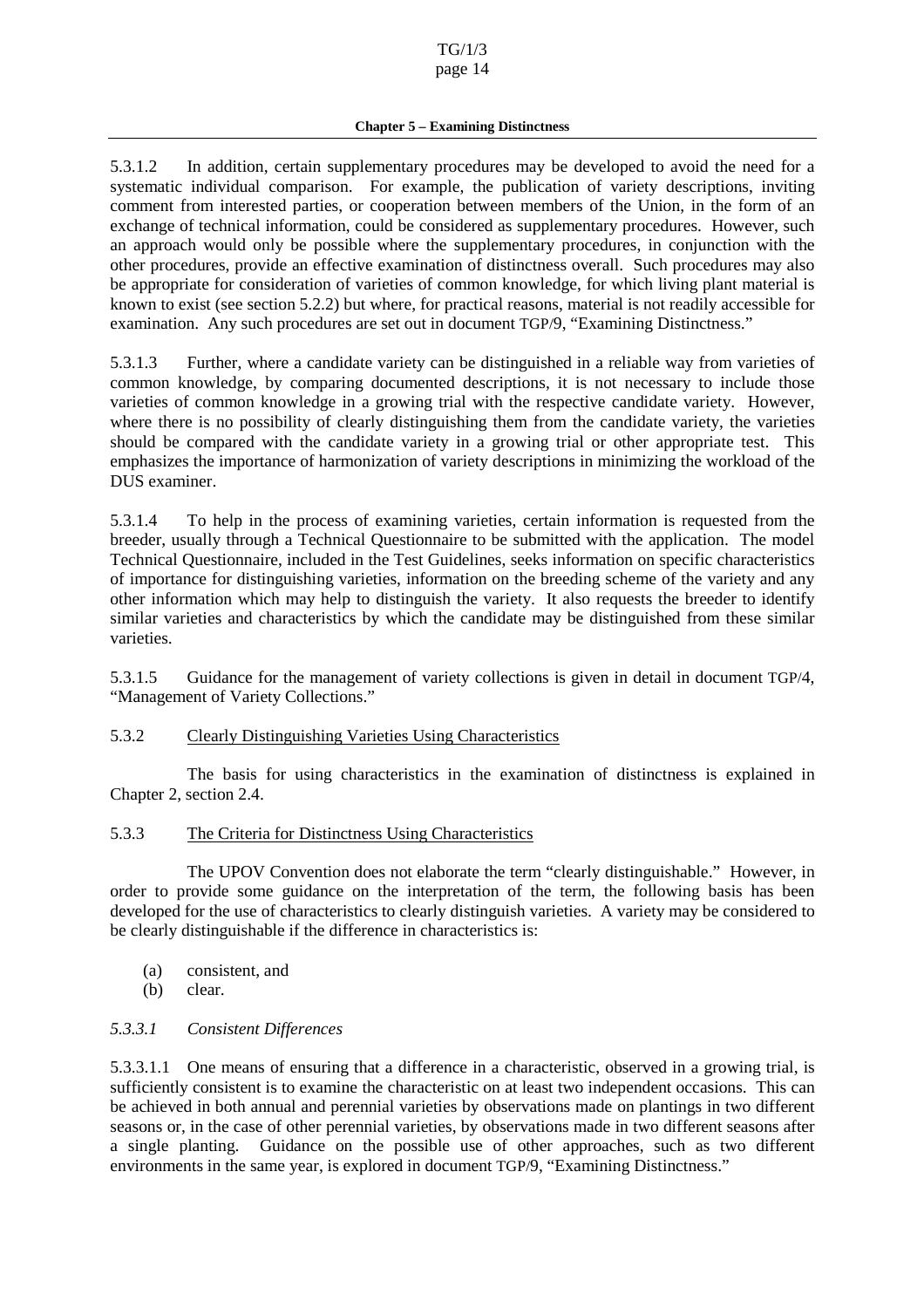<span id="page-13-0"></span>5.3.1.2 In addition, certain supplementary procedures may be developed to avoid the need for a systematic individual comparison. For example, the publication of variety descriptions, inviting comment from interested parties, or cooperation between members of the Union, in the form of an exchange of technical information, could be considered as supplem entary procedures. However, such an approach would only be possible where the supplementary procedures, in conjunction with the other procedures, provide an effective examination of distinctness overall. Such procedures may also be appropriate for consid eration of varieties of common knowledge, for which living plant material is known to exist (see section 5.2.2) but where, for practical reasons, material is not readily accessible for examination. Any such procedures are set out indocument TGP/9, "Examining Distinctness."

5.3.1.3 Further, where a candidate variety can be distinguished in a reliable way from varieties of common knowledge, by comparing documented descriptions, it is not necessary to include those varieties of common knowledge in a growing trial with the respective candidate variety. However, where there is no possibility of clearly distinguishing them from the candidate variety, the varieties should be compared with the candidate variety in a growing trial or other appropriate test. This emphasizes the importance of harmonization of variety descriptions in minimizing the workload of the DUSexaminer.

5.3.1.4 To help in the process of examining varieties, certain information is requested from the breeder, usually through a Technical Ques tionnaire to be submitted with the application. The model Technical Questionnaire, included in the Test Guidelines, seeks information on specific characteristics of importance for distinguishing varieties, information on the breeding scheme of the variety and any other information which may help to distinguish the variety. It also requests the breeder to identify similar varieties and characteristics by which the candidate may be distinguished from these similar varieties.

5.3.1.5 Guidance for the management of variety collections is given in detail in document TGP/4, "Management of Variety Collections."

### 5.3.2 Clearly Distinguishing Varieties Using Characteristics

The basis for using characteristics in the examination of distinctness is explained in Chapter 2, section 2.4.

### 5.3.3 The Criteria for Distinctness Using Characteristics

The UPOV Convention does not elaborate the term "clearly distinguishable." However, in order to provide some guidance on the interpretation of the term, the following basis h as been developed for the use of characteristics to clearly distinguish varieties. A variety may be considered to be clearly distinguishable if the difference in characteristics is:

- (a) consistent, and
- (b) clear.

### *5.3.3.1 Consistent Differences*

5.3.3.1.1 One means of ensuring that a difference in a characteristic, observed in a growing trial, is sufficiently consistent is to examine the characteristic on at least two independent occasions. This can be achieved in both annual and perennial varieties by ob servations made on plantings in two different seasons or, in the case of other perennial varieties, by observations made in two different seasons after a single planting. Guidance on the possible use of other approaches, such as two different environments in the same year, is explored indocument TGP/9, "Examining Distinctness."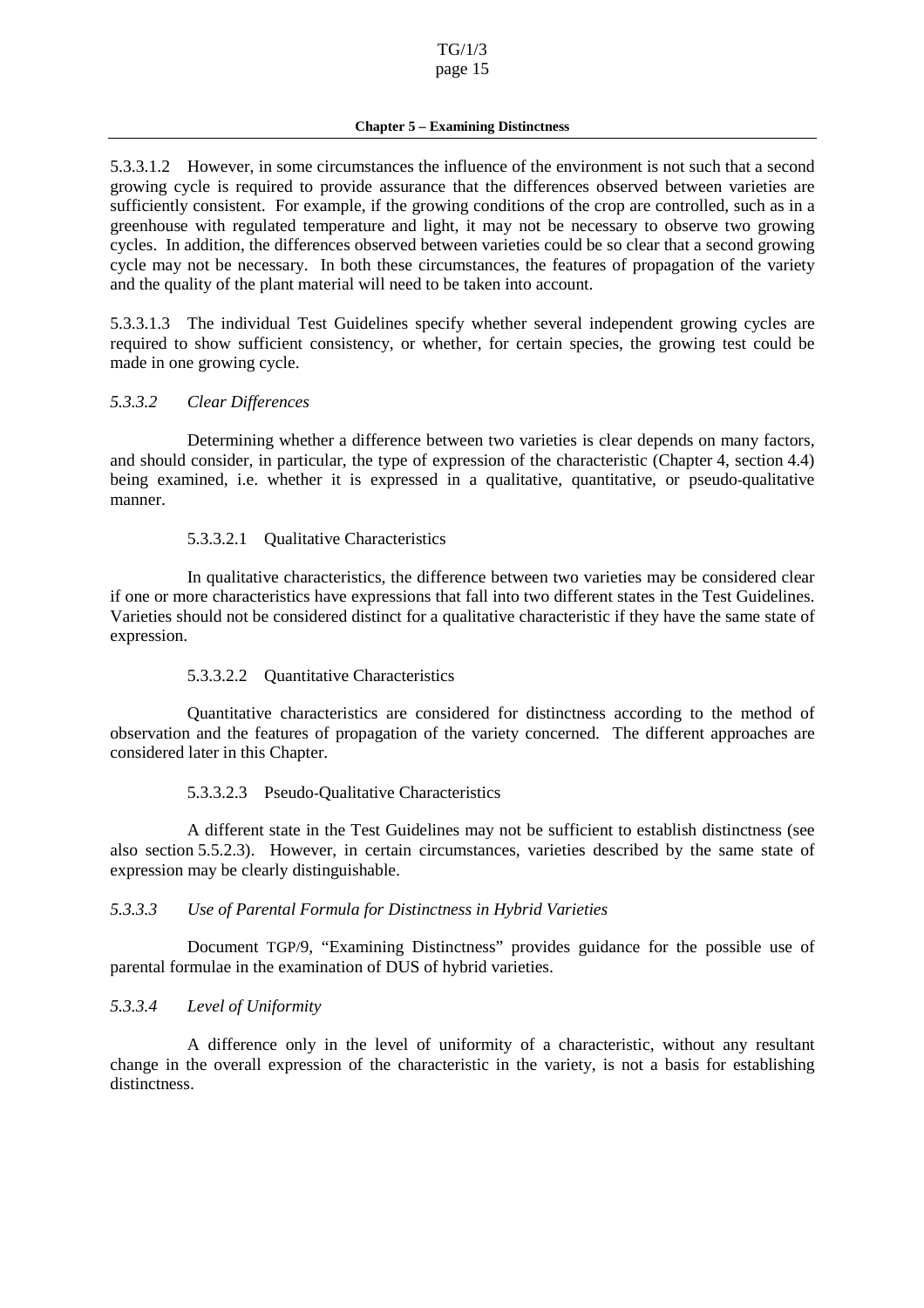<span id="page-14-0"></span>5.3.3.1.2 However, in some circumstances the influence of the environment is not such that a second growing cycle is required to provide assurance that the differences observed be tween varieties are sufficiently consistent. For example, if the growing conditions of the cropare controlled, such as in a greenhouse with regulated temperature and light, it may not be necessary to observe two growing cycles. In addition, the differen ces observed between varieties could be soclear that as econd growing cycle may not be necessary. In both these circumstances, the features of propagation of the variety and the quality of the plant material will need to be taken into account.

5.3.3.1.3 The individual Test Guidelines specify whether several independent growing cycles are required to show sufficient consistency, or whether, for certain species, the growing test could be made in one growing cycle.

### *5.3.3.2 Clear Differences*

Determining wh ether a difference between two varieties is clear depends on many factors, and should consider, in particular, the type of expression of the characteristic (Chapter 4, section 4.4) being examined, i.e. whether it is expressed in a qualitative, quantitative , or pseudo -qualitative manner.

# 5.3.3.2.1 Qualitative Characteristics

In qualitative characteristics, the difference between two varieties may be considered clear if one or more characteristics have expressions that fall into two different states in the Test Guidelines. Varieties should not be considered distinct for a qualitative characteristic if the y have the same state of expression.

### 5.3.3.2.2 Quantitative Characteristics

Quantitative characteristics are considered for distinctness according to the method of observation and the features of propagation of the variety concerned. The different approaches are considered later in this Chapter.

### 5.3.3.2.3 Pseudo-Qualitative Characteristics

A different state in the Test Guidelines may not be sufficient two sestablish distinctness (see also section 5.5.2.3). However, in certain circumstances, varieties described by the same state of expression may be clearly distinguishable.

### *5.3.3.3 Use of Parental Formula for Distinctness in Hybrid Varieties*

Document TGP/9, "Examining Distinctness" provides guidance for the possible use of parental formulae in the examination of DUS of hybrid varieties.

### *5.3.3.4 Level of Uniformity*

A difference only in the level of uniformity of a characteristic, without any resultant change in the overall expression of the characteristic in the variety, is not a basis for establishing distinctness.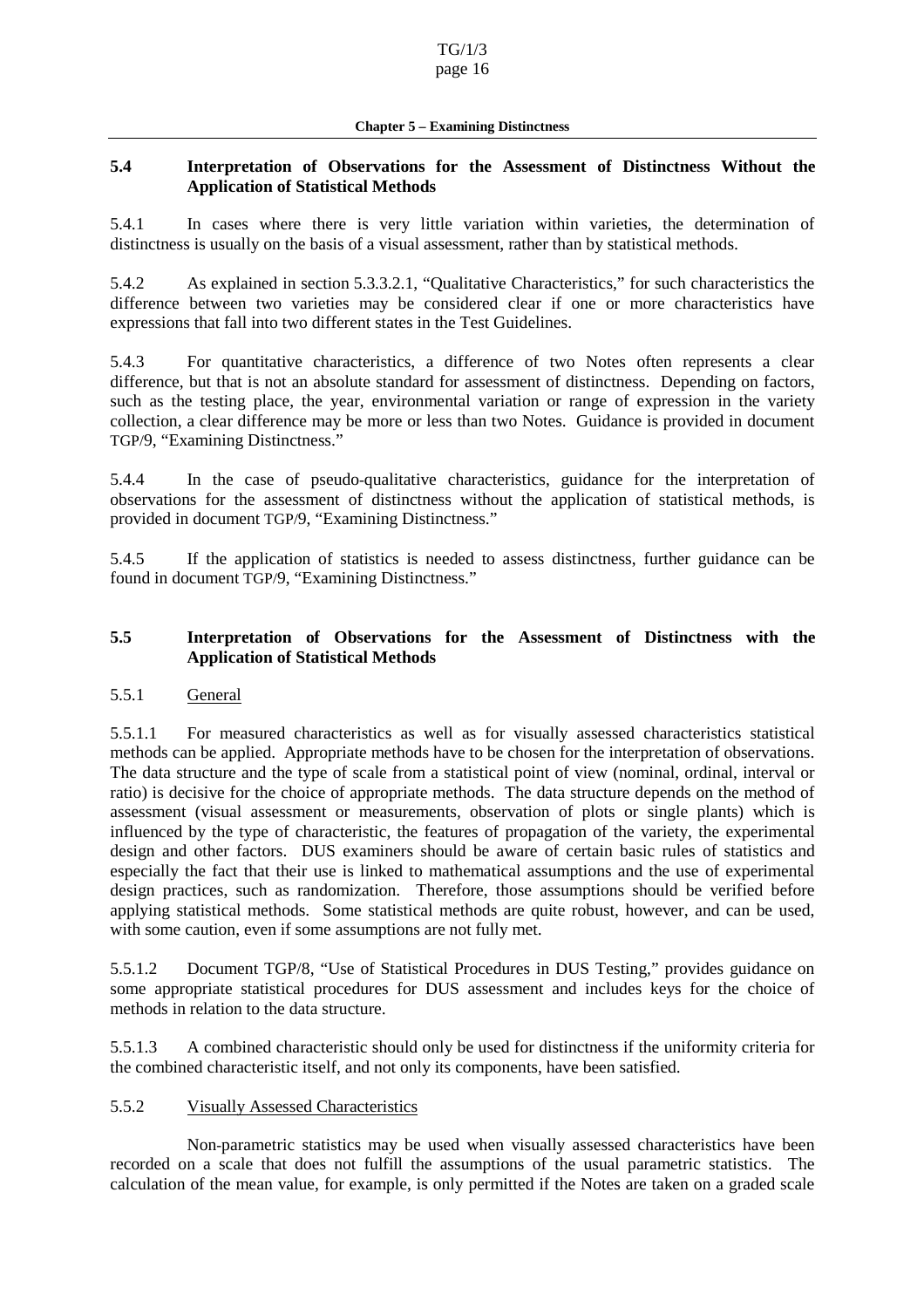### <span id="page-15-0"></span>**5.4 Interpretation of Observations for the Assessment of Distinctness Without the Application of Statistical Methods**

5.4.1 In cases where t here is very little variation within varieties, the determination of distinctnessisusually on the basis of a visual assessment, rather than by statistical methods.

5.4.2 As explained in section 5.3.3.2.1, "Qualitative Characteristics," for such charact eristics the difference between two varieties may be considered clear if one or more characteristics have expressions that fall into two different states in the Test Guidelines.

5.4.3 For quantitative characteristics, a difference of two Notes often repre sents a clear difference, but that is not an absolute standard for assessment of distinctness. Depending on factors, such as the testing place, the year, environmental variation or range of expression in the variety collection, a clear difference may be m ore or less than two Notes. Guidance is provided indocument TGP/9, "Examining Distinctness."

5.4.4 In the case of pseudo -qualitative characteristics, guidance for the interpretation of observations for the assessment of distinctness without the applicat ion of statistical methods, is provided indocument TGP/9, "Examining Distinctness."

5.4.5 If the application of statistics is needed to assess distinctness, further guidance can be found indocument TGP/9, "Examining Distinctness."

### **5.5 Interpretation o f Observations for the Assessment of Distinctness with the Application of Statistical Methods**

### 5.5.1 General

5.5.1.1 For measured characteristics as well as for visually assessed characteristics statistical methods can be applied. Appropriate methods have to be chosen for the interpretation of observations. The data structure and the type of scale from a statistical point of view (nominal, ordinal, i nterval or ratio) is decisive for the choice of appropriate methods. The data structure depends on the met hod of assessment (visual assessment or measurements, observation of plots or single plants) which is influenced by the type of characteristic, the features of propagation of the variety, the experimental design and other factors. DUS examiners should be aware of certain basic rules of statistics and especially the fact that their use is linked to mathematical assumptions and the use of exper imental design practices, such as randomization. Therefore, those assumptions should be verified before applying st atistical methods. Some statistical methods are quite robust, however, and can be used, with some caution, even if some assumptions are not fully met.

5.5.1.2 Document TGP/8, "Use of Statistical Procedures in DUS Testing," provides guidance on some appro priate statistical procedures for DUS assessment and includes keys for the choice of methods in relation to the data structure.

5.5.1.3 A combined characteristic should only be used for distinctness if the uniformity criteria for the combined characterist icitself, and not only its components, have been satisfied.

### 5.5.2 Visually Assessed Characteristics

Non-parametric statistics may be used when visually assessed characteristics have been recorded on a scale that does not fulfill the assumptions of the u sual parametric statistics. The calculation of the mean value, for example, is only permitted if the Notes are taken on a graded scale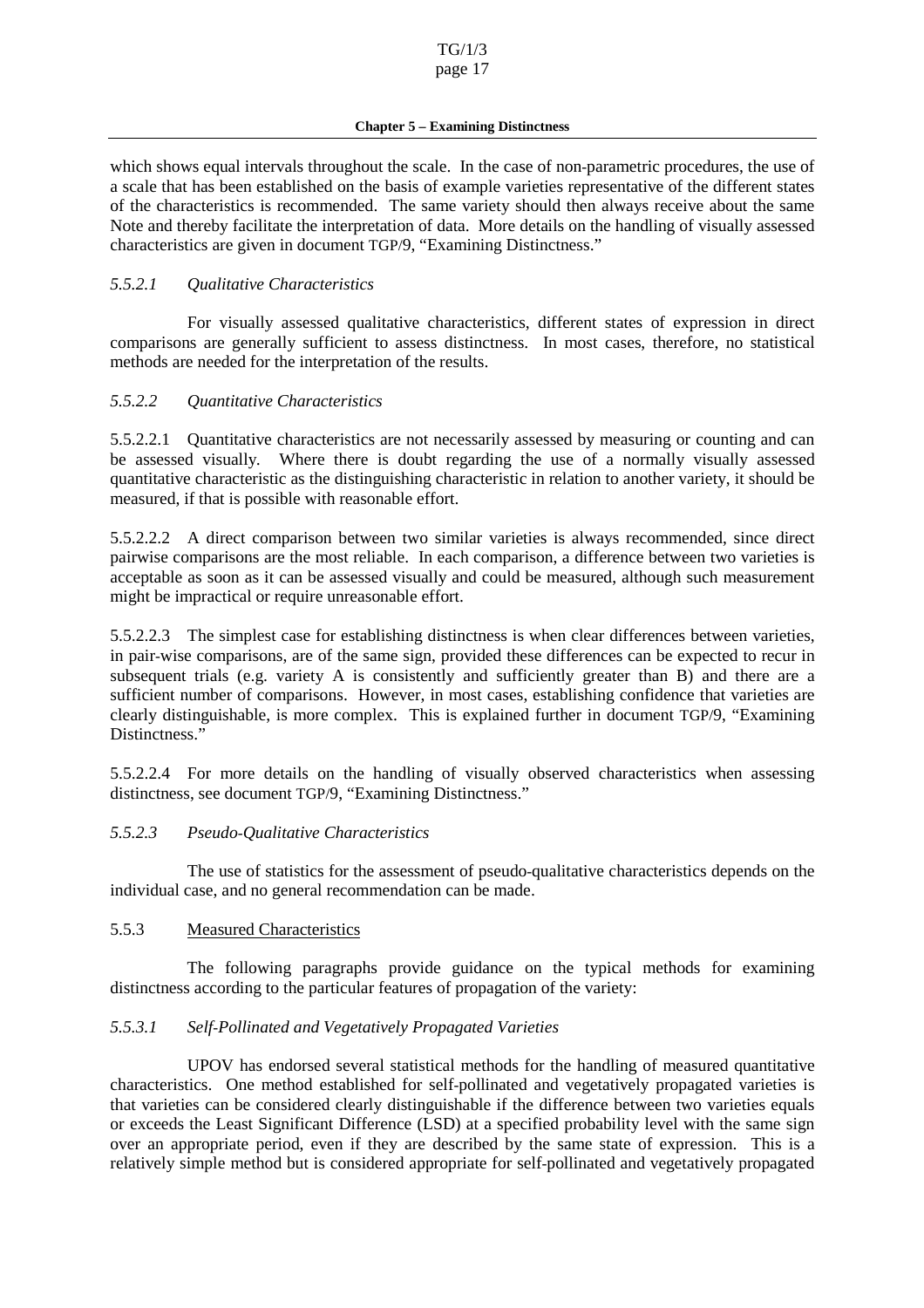<span id="page-16-0"></span>which shows equal intervals throughout the scale. In the case of non -parametric procedures, the use of ascale that has been established on the basis of example varieties representative of the different states of the characteristics is recommended. The same variety should then always receive about the same Note and thereby facilitate the interpretation of data. More deta ils on the handling of visually assessed characteristics are given indocument TGP/9, "Examining Distinctness."

### *5.5.2.1 Qualitative Characteristics*

For visually assessed qualitative characteristics, different states of expression in direct comparisons ar e generally sufficient to assess distinctness. In most cases, therefore, no statistical methods are needed for the interpretation of the results.

#### *5.5.2.2 Quantitative Characteristics*

5.5.2.2.1 Quantitative characteristics are not necessarily assessed by measuring or counting and can be assessed visually *.* Where there is doubt regarding the use of a normally visually assessed quantitative characteristic as the distinguishing characteristic in relation to another variety, it should be measured, if that is p ossible with reasonable effort.

5.5.2.2.2 A direct comparison between two similar varieties is always recommended, since direct pairwise comparisons are the most reliable. In each comparison, a difference between two varieties is acceptable as soon as it can be assessed visually and could be measured, although such measurement might be impractical or require unreasonable effort.

5.5.2.2.3 The simplest case for establishing distinctness is when clear differences between varieties, in pair -wise comparisons , are of the same sign, provided these differences can be expected to recur in subsequent trials (e.g. variety A is consistently and sufficiently greater than B) and there are a sufficient number of comparisons. However, in most cases, establishing confid ence that varieties are clearly distinguishable, is more complex. This is explained further in document TGP/9, "Examining Distinctness."

5.5.2.2.4 For more details on the handling of visually observed characteristics when assessing distinctness, seedocu ment TGP/9, "Examining Distinctness."

### *5.5.2.3 Pseudo-Qualitative Characteristics*

The use of statistics for the assessment of pseudo -qualitative characteristics depends on the individual case, and no general recommendation can be made.

#### 5.5.3 Measured Cha racteristics

The following paragraphs provide guidance on the typical methods for examining distinctnessaccording to the particular features of propagation of the variety:

### *5.5.3.1 Self-Pollinated and Vegetatively Propagated Varieties*

UPOV has endorsed several statistical methods for the handling of measured quantitative characteristics. One method established for self -pollinated and vegetatively propagated varieties is that varieties can be considered clearly distinguishable if the difference between t wo varieties equals or exceeds the Least Significant Difference (LSD) at a specified probability level with the same sign over an appropriate period, even if they are described by the same state of expression. This is a relatively simple method but is con sidered appropriate for self -pollinated and vegetatively propagated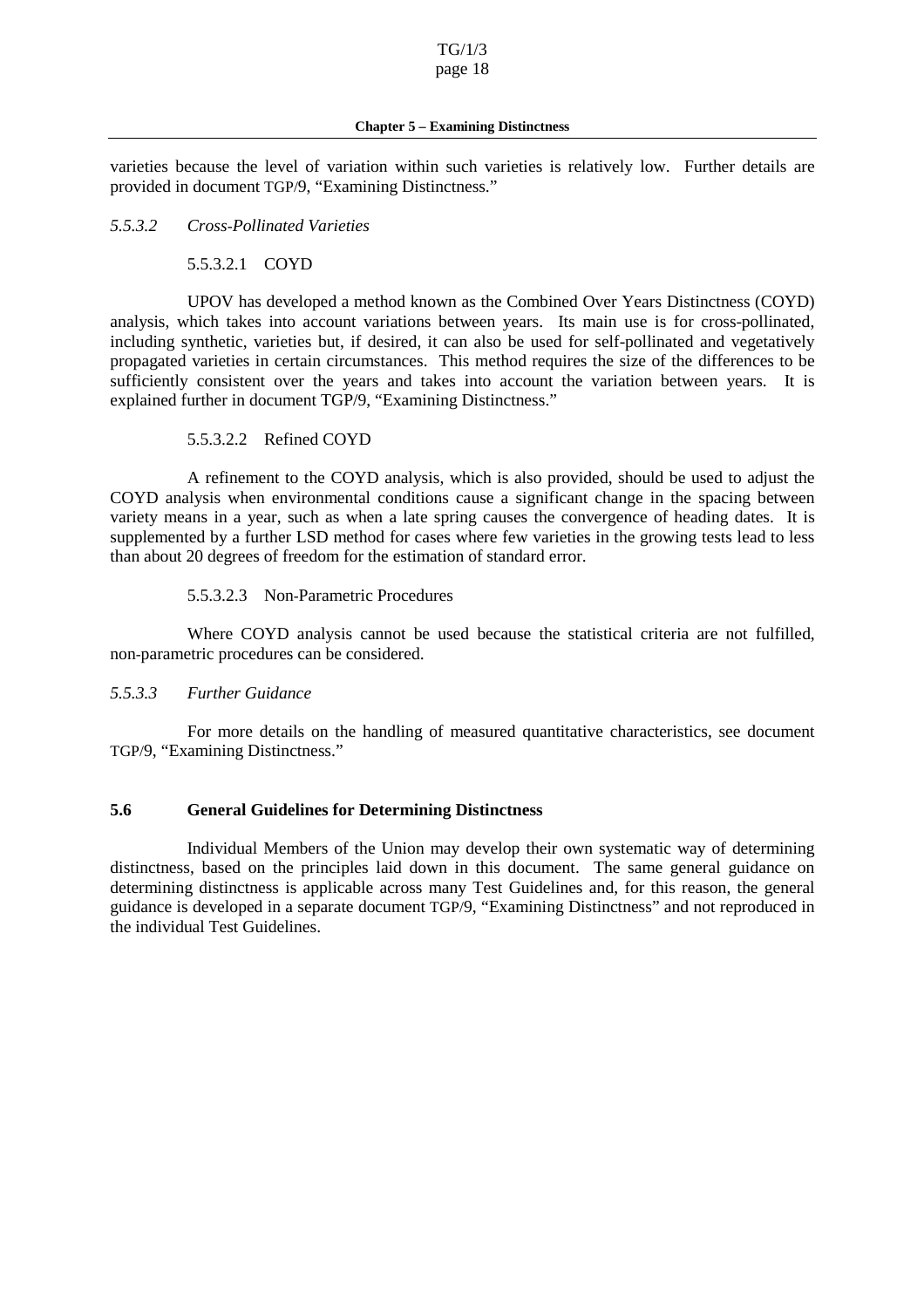<span id="page-17-0"></span>varieties because the level of variation within such varieties is relatively low. Further details are provided indocument TGP/9, "Examining Distinctness."

#### *5.5.3.2 Cross-Pollinated Varie ties*

### 5.5.3.2.1 COYD

UPOV has developed a method known as the Combined Over Years Distinctness (COYD) analysis, which takes into account variations between years. Its main use is for cross -pollinated, including synthetic, varieties but, if desired, it can also be used for self -pollinated and vegetatively propagated varieties in certain circumstances. This method requires the size of the differences to be sufficiently consistent over the years and takes into account the variation between years. It is explained further indocument TGP/9, "Examining Distinctness."

#### 5.5.3.2.2 Refined COYD

A refinement to the COYD analysis, which is also provided, should be used to adjust the COYD analysis when environmental conditions cause a significant change in the spacin g between variety means in a year, such as when a late spring causes the convergence of heading dates. It is supplemented by a further LSD method for cases where few varieties in the growing tests lead to less than about 20 degrees of freedom for the estimation of standard error.

#### 5.5.3.2.3 Non-Parametric Procedures

Where COYD analysis cannot be used because the statistical criteria are not fulfilled, non-parametric procedures can be considered.

### *5.5.3.3 Further Guidance*

For more details on the handling of measured quantitative characteristics, see document TGP/9, "Examining Distinctness."

#### **5.6 General Guidelines for Determining Distinctness**

Individual Members of the Union may develop their own systematic way of determining distinctness, based on the pr inciples laid down in this document. The same general guidance on determining distinctness is applicable across many Test Guidelines and, for this reason, the general guidance is developed in a separated ocument TGP/9, "Examining Distinctness" and not rep roduced in the individual Test Guidelines.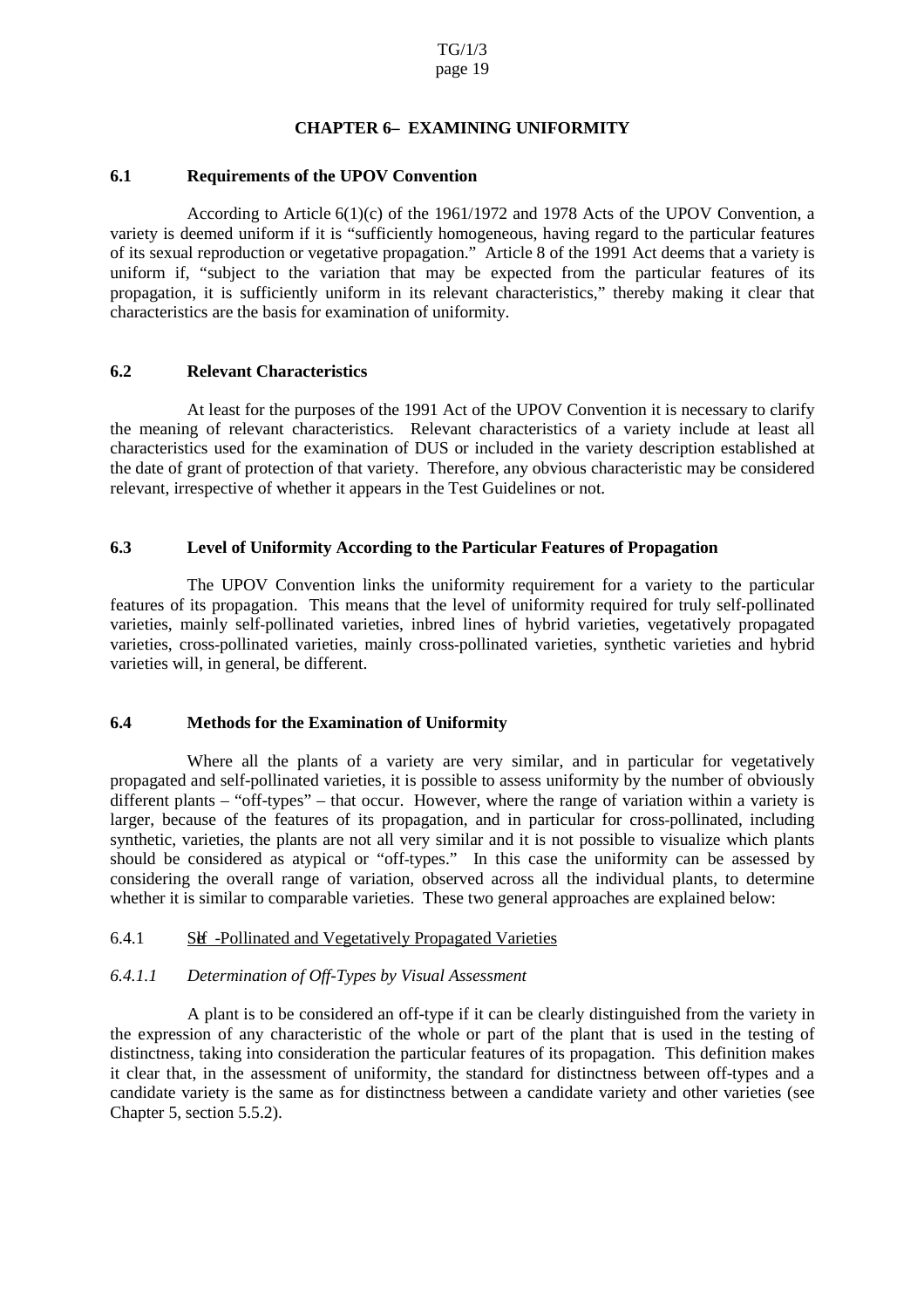# **CHAPTER6 EXAMININ GUNIFORMITY**

### <span id="page-18-0"></span>**6.1 Requirements of the UPOV Convention**

According to Article 6(1)(c) of the 1961/1972 and 1978 Acts of the UPOV Convention, a variety is deemed uniformifitis "sufficiently h omogeneous, having regard to the particular features of its sexual reproduction or vegetative propagation." Article 8of the 1991 Act deems that a variety is uniform if, "subject to the variation that may be expected from the particular features of its propagation, it is sufficiently uniform in its relevant characteristics," thereby making it clear that characteristics are the basis for examination of uniformity.

#### **6.2 Relevant Characteristics**

At least for the purposes of the 1991 Act of the UPOV Conventi on it is necessary to clarify the meaning of relevant characteristics. Relevant characteristics of a variety include at least all characteristics used for the examination of DUS or included in the variety description established at the date of grant of pr otection of that variety. Therefore, any obvious characteristic may be considered relevant, irrespective of whether it appears in the Test Guidelines or not.

#### **6.3 Level of Uniformity According to the Particular Features of Propagation**

The UPOV Convention links the uniformity requirement for a variety to the particular features of its propagation. This means that the level of uniformity required for truly self -pollinated varieties, mainly self -pollinated varieties, inbred lines of hybrid varieties, vegeta tively propagated varieties, cross -pollinated varieties, mainly cross -pollinated varieties, synthetic varieties and hybrid varieties will, in general, be different.

### **6.4 Methods for the Examination of Uniformity**

Where all the plants of a variety are very similar, and in particular for vegetatively propagated and self -pollinated varieties, it is possible to assess uniformity by the number of obviously different plants – "off-types" – that occur. However, where the range of variation within a variety is larger, because of the features of its propagation, and in particular for cross -pollinated, including synthetic, varieties, the plants are not all very similar and it is not possible to visualize which plants should be considered as atypical or "off -types." In this case the uniformity can be assessed by considering the overall range of variation, observed across all the individual plants, to determine whetheritissimilar to comparable varieties. These two general approaches are explained below:

#### $6.4.1$  Self -Pollinated and Vegetatively Propagated Varieties

### *6.4.1.1 Determination of Off -Types by Visual Assessment*

A plantisto be considered an off -type if it can be clearly distinguished from the variety in the expression of any characteristic of the whole or part of the plant that is used in the testing of distinctness, taking into consideration the particular features of its propagation. This definition makes it clear that, in the assessment of uniformity, the standard for distinctness between off -types and a candidate variety is the same as for distinctness between a candidate variety and other varieties (see Chapter 5, section 5.5.2).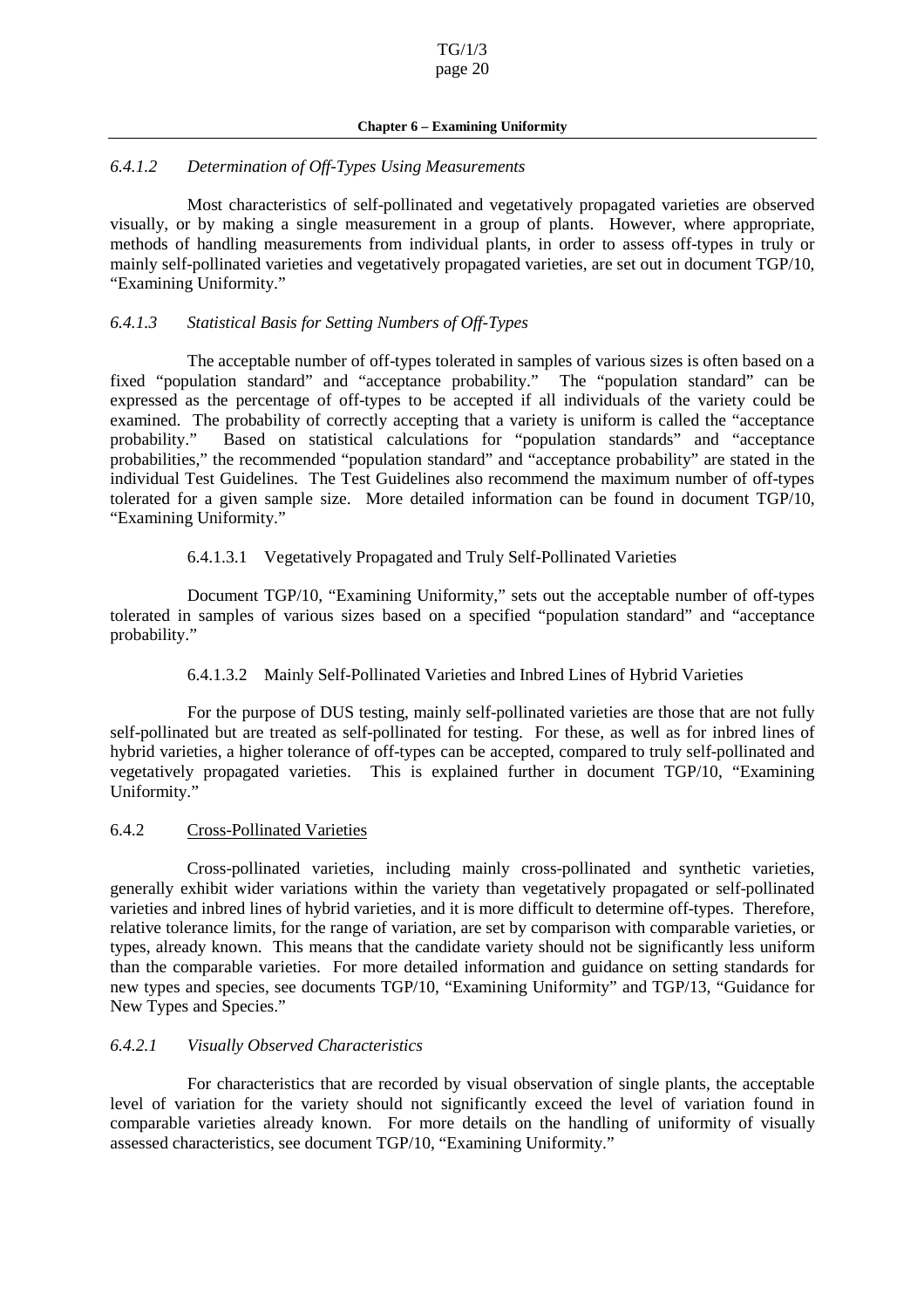#### **Chapter6** – Examining Uniformity

#### <span id="page-19-0"></span>*6.4.1.2 Determination of Off -Types Using Measurements*

Most characteristics of self -pollinated and vegetatively propagated varieties are observed visually, or by making a single measurement in a group of plants. However, where appropriate, methods of handling measurements from individual plants, in order to assess of f<br>types in truly or mainly self-pollinated varieties and ve getatively propagated varieties, are set out indocument TGP/10, "Examining Uniformity."

#### *6.4.1.3 Statistical Basis for Setting Numbers of Off -Types*

The acceptable number of off -types tolerated in samples of various sizes is often based on a fixed "popul ation standard" and "acceptance probability." The "population standard" can be expressed as the percentage of off -types to be accepted if all individuals of the variety could be examined. The probability of correctly accepting that a variety is uniform i scalled the "acceptance" probability." Based on statistical calculations for "population standards" and "acceptance probabilities," the recommended "population standard" and "acceptance probability" are stated in the individual Test Guidelines. The Test Guidelines also recommend the maximum number of off -types tolerated for a given sample size. More detailed information can be found in document TGP/10, "Examining Uniformity."

#### 6.4.1.3.1 Vegetatively Propagated and Truly Self -Pollinated Varieties

Document TGP/10, "Examining Uniformity," sets out the acceptable number of off -types tolerated in samples of various sizes based on a specified "population standard" and "acceptance probability."

6.4.1.3.2 Mainly Self -Pollinated Varieties and Inbred Lines of Hyb rid Varieties

For the purpose of DUS testing, mainly self -pollinated varieties are those that are not fully self-pollinated but are treated as self -pollinated for testing. For these, as well as for inbred lines of hybrid varieties, a higher tolerance of off-types can be accepted, compared to truly self -pollinated and vegetatively propagated varieties. This is explained further in document TGP/10, "Examining Uniformity."

### 6.4.2 Cross-Pollinated Varieties

Cross-pollinated varieties, including mainly cross -pollinated and synthetic varieties, generally exhibit wider variations within the variety than vegetatively propagated or self -pollinated varieties and inbred lines of hybrid varieties, and it is more difficult to determine off -types. Therefore, relative tolerance limits, for the range of variation, are set by comparison with comparable varieties, or types, already known. This means that the candidate variety should not be significantly less uniform than the comparable varieties. For more detailed infor mation and guidance on setting standards for new types and species, see documents TGP/10, "Examining Uniformity" and TGP/13, "Guidance for New Types and Species."

### *6.4.2.1 Visually Observed Characteristics*

For characteristics that are recorded by visual o bservation of single plants, the acceptable level of variation for the variety should not significantly exceed the level of variation found in comparable varieties already known. For more details on the handling of uniformity of visually assessed characte ristics, seed ocument TGP/10, "Examining Uniformity."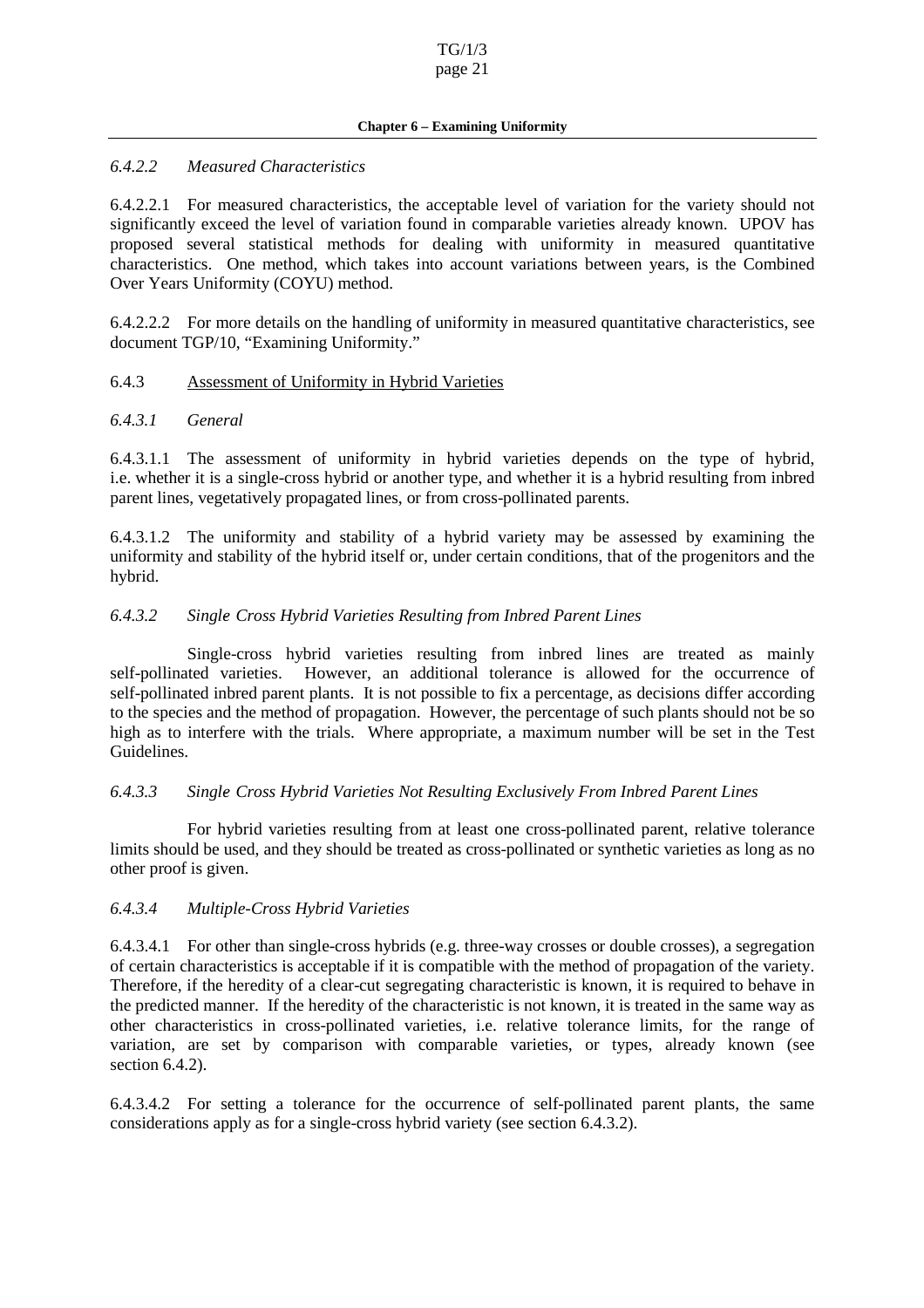#### **Chapter6** – Examining Uniformity

#### <span id="page-20-0"></span>*6.4.2.2 Measured Characteristics*

6.4.2.2.1 For measured characteristics, the acceptable level of variation for the variety should not significantly exceed the level of variation found in comparable va rieties already known. UPOV has proposed several statistical methods for dealing with uniformity in measured quantitative characteristics. One method, which takes into account variations between years, is the Combined Over Years Uniformity (COYU) method.

6.4.2.2.2 For more details on the handling of uniformity in measured quantitative characteristics, see document TGP/10, "Examining Uniformity."

#### 6.4.3 Assessment of Uniformity in Hybrid Varieties

#### *6.4.3.1 General*

6.4.3.1.1 The assessment of uniformity in hybrid varieties depends on the type of hybrid, i.e. whether it is a single -cross hybrid or another type, and whether it is a hybrid resulting from inbred parent lines, vegetatively propagated lines, or from cross -pollinated parents.

6.4.3.1.2 The unifo rmity and stability of a hybrid variety may be assessed by examining the uniformity and stability of the hybrid itself or, under certain conditions, that of the progenitors and the hybrid.

#### *6.4.3.2 Single- Cross Hybrid Varieties Resulting from Inbred Paren t Lines*

Single-cross hybrid varieties resulting from inbred lines are treated as mainly self-pollinated varieties. However, an additional tolerance is allowed for the occurrence of self-pollinated in bred parent plants. It is not possible to fix a percen tage, as decisions differ according to the species and the method of propagation. However, the percentage of such plants should not be so high as to interfere with the trials. Where appropriate, a maximum number will be set in the Test Guidelines.

### *6.4.3.3 Single- Cross Hybrid Varieties Not Resulting Exclusively From Inbred Parent Lines*

For hybrid varieties resulting from at least one cross -pollinated parent, relative tolerance limits should be used, and they should be treated as cross -pollinated or synth etic varieties as long as no other proof is given.

#### *6.4.3.4 Multiple-Cross Hybrid Varieties*

 $6.4.3.4.1$  For other than single -cross hybrids  $(e.g., three$  -way crosses or double crosses), as egregation of certain characteristics is acceptable if it is compatible with the method of propagation of the variety. Therefore, if the heredity of a clear -cut segregating characteristic is known, it is required to be have in the predicted manner. If the heredity of the characteristic is not known, it is treated in the same way as other characteristics in cross -pollinated varieties, i.e. relative tolerance limits, for the range of variation, are set by comparison with comparable varieties, or types, already known (see section 6.4.2).

6.4.3.4.2 For setting a tolerance for th e occurrence of self -pollinated parent plants, the same  $\text{considerations}$  apply as for a single -cross hybrid variety (see section 6.4.3.2).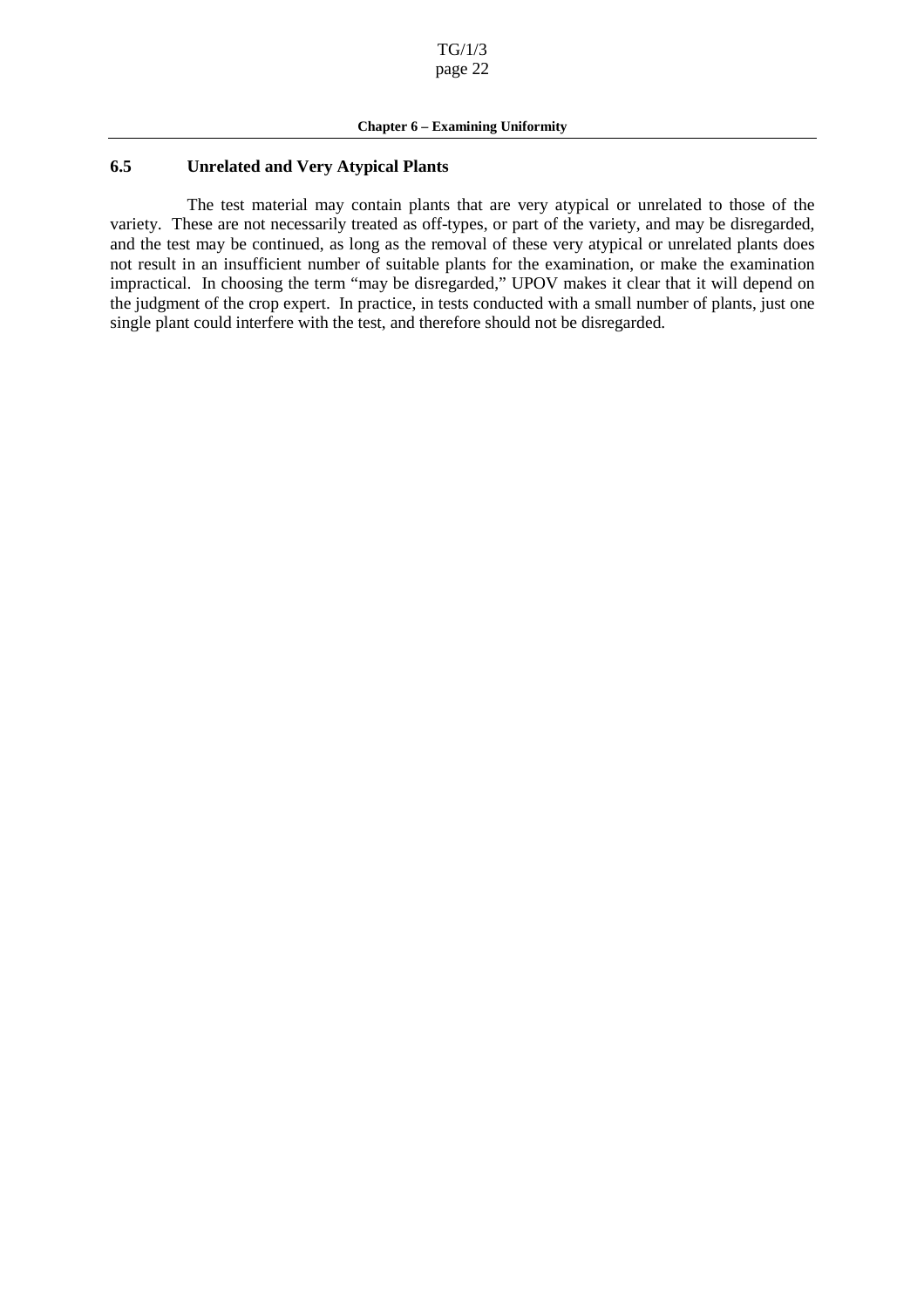#### <span id="page-21-0"></span>**6.5 Unrelated and Very Atypical Plants**

The test material may contain plants that are very atypical or unrelated to those of the variety. These are not necessarily treated as off the variety, and may be disregarded, -types, or part of the variety, and may be disregarded, and the test may be continued, as long as the removal of these very atypical or unrelated plants does not result in an insufficient number of suitable plants for the examination, or make the examination impractical. In choosing the term "may be disregarded," UPOV makes it clear that it will depend on the judgment of the cropexpert. In practice, intests conducted with a small number of pl ants, just one single plant could interfere with the test, and therefore should not be disregarded.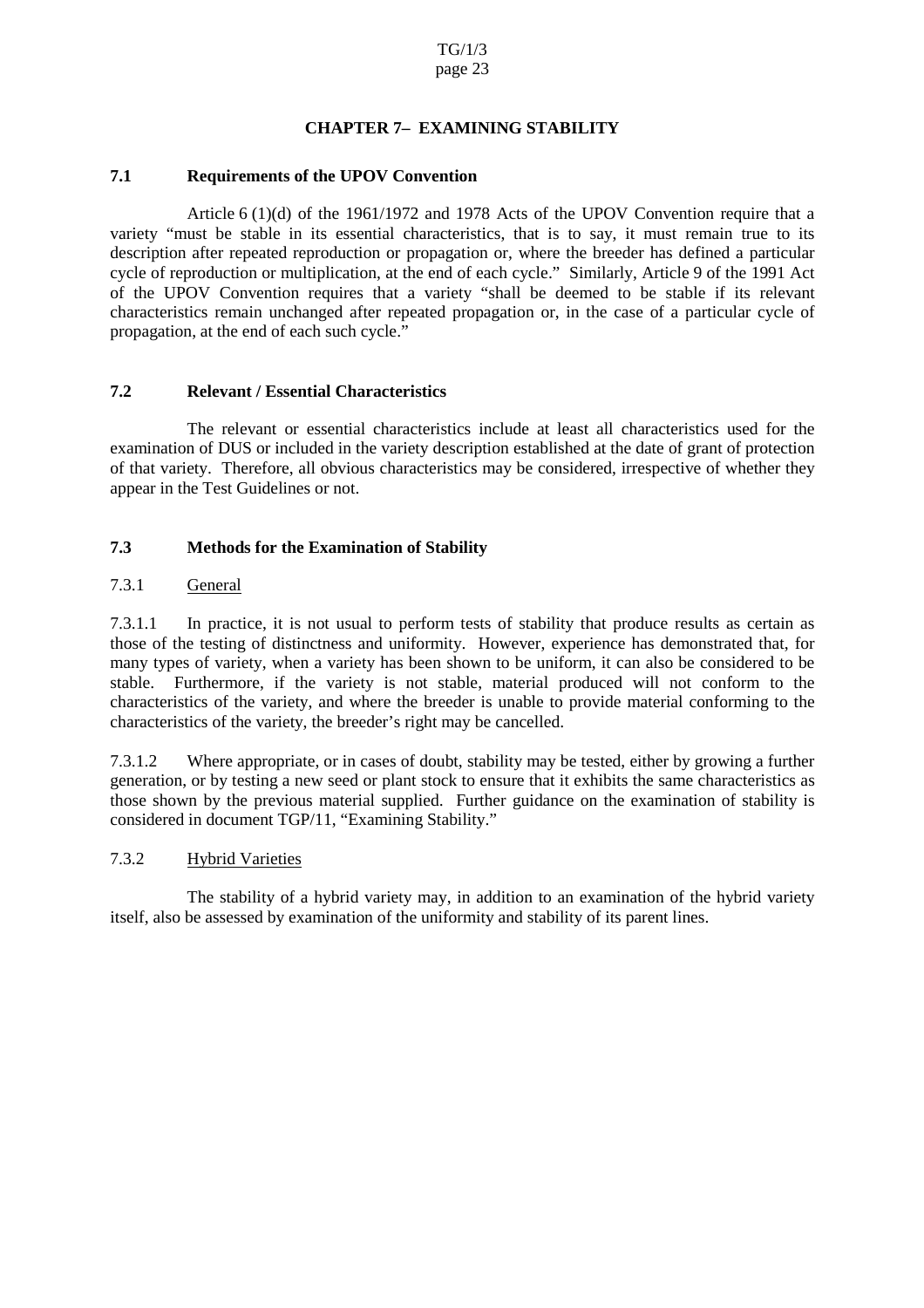# **CHAPTERZ EXAMININ GSTABILITY**

### <span id="page-22-0"></span>**7.1 Requirements of the UPOV Convention**

Article 6 (1)(d) of the 1961/1972 and 1978 Acts of the UPOV Convention require that a variety "must be stable in its essential characteristics, that is to say, it must remain true to its description after repeated reproduction or propagation or, where the breeder has defined a particular cycle of reproduction or multiplication, at the end of each cycle." Similarly, Article 9 of the 1991 Act of the UPOV Convention requires that a variety "shall be deemed to be stable if its relevant characteristics remain unchanged after repeated propagation or, in the case of a particular cycle of propagation, at the end of each such cycle."

### **7.2 Relevant / Essential Characteristics**

The relevant or essential characteristics include at least all characteristics used for the examination of DUS or included in the variety description established at the d ate of grant of protection of that variety. Therefore, all obvious characteristics may be considered, irrespective of whether they appear in the Test Guidelines or not.

# **7.3 Methods for the Examination of Stability**

# 7.3.1 General

7.3.1.1 In practice, it i s not usual to perform tests of stability that produce results as certain as those of the testing of distinctness and uniformity. However, experience has demonstrated that, for many types of variety, when a variety has been shown to be uniform, it can als obe considered to be stable. Furthermore, if the variety is not stable, material produced will not conform to the characteristics of the variety, and where the breeder is unable to provide material conforming to the characteristics of the variety, the br eeder's right may be cancelled.

7.3.1.2 Where appropriate, or in cases of doubt, stability may be tested, either by growing a further generation, or by testing a new seed or plants to ck to ensure that it exhibits the same characteristics as those shown by the previous material supplied. Further guidance on the examination of stability is considered indocument TGP/11, "Examining Stability."

# 7.3.2 Hybrid Varieties

The stability of a hybrid variety may, in addition to an examination of the hybrid variety itself, also be assessed by examination of the uniformity and stability of its parent lines.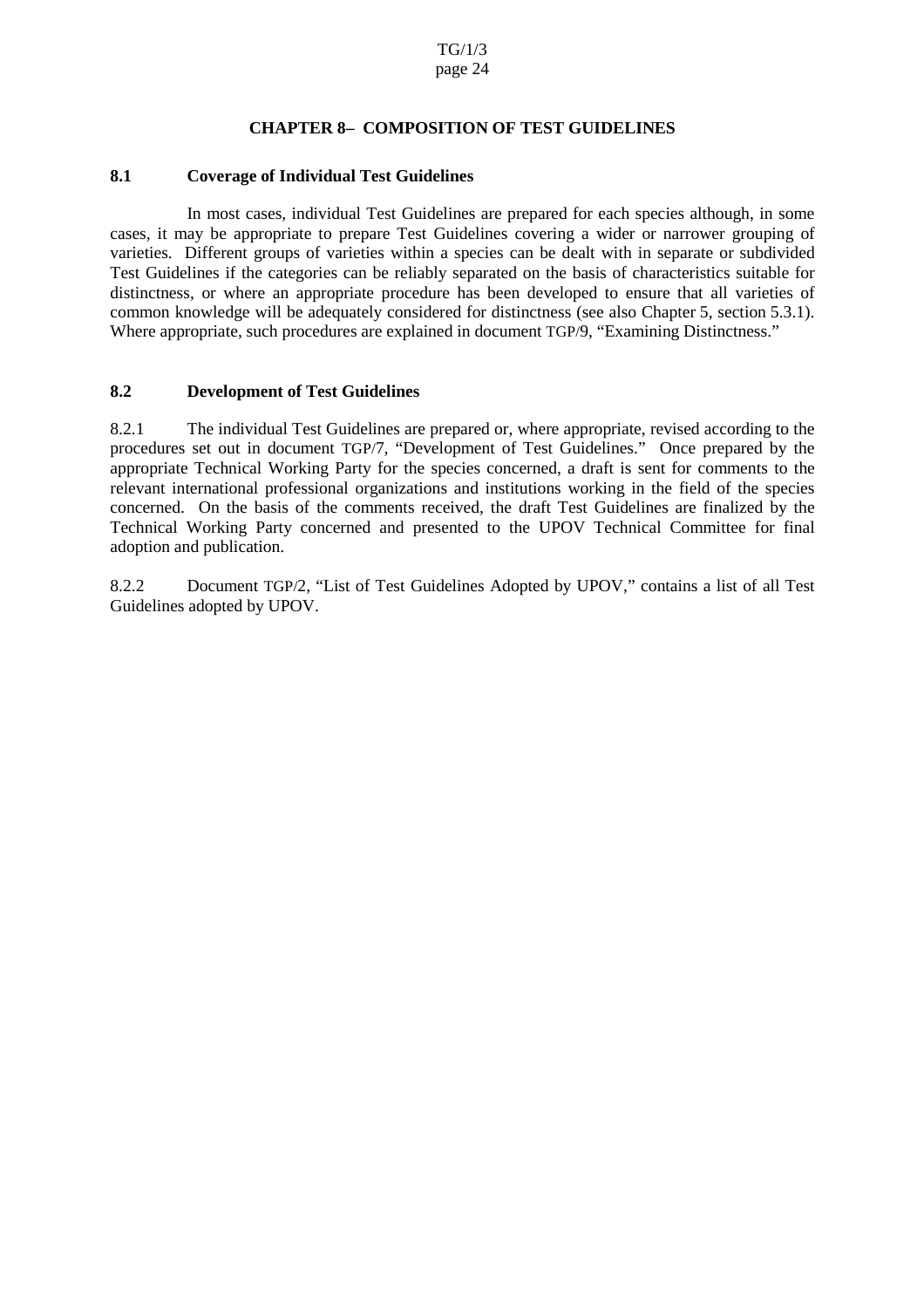### **CHAPTER 8 – COMPOSIT ION OF TEST GUIDELIN ES**

#### <span id="page-23-0"></span>**8.1 Coverage of Individual Test Guidelines**

In most cases, individual Test Guidelines are prepared for each species although, in some cases, it may be appropriate to prepare Test Guidelines covering a wider or narrower grouping of varieties. Different groups of varieties within a species can be dealt with in separate or subdivided Test Guidelines if the categories can be reliably separated on the basis of characteristics suitable for distinctness, or where an appropriate procedure has been developed to ensure that all varieties of common knowledge will be adequately considered for distinctness (see also Chapter  $\qquad$  5, section 5.3.1). Where appropriate, such procedures are explained indocument TGP/9, "Examining Distinctness."

#### 8.2 **Development of Test Guidelines**

8.2.1 The individual Test Guidelines are prepared or, where appropriate, revised according to the procedures set out in document TGP/7, "Development of Test Guidelines." Once prepared by the appropriate Technical Working Party for the species concerned, a draft is sent for comments to the relevant international professional organizations and institutions working in the field of the species concerned. On the basis of the comments received, the draft Test Guidelines are finalized by the Technical Working Party concerned and presented to the UPOV Technical Committee for final adoption and publication.

8.2.2 Document TGP/2, "List of Test Guidelines Adopted by UPOV," contains a list of all Test Guidelines adopted by UPOV.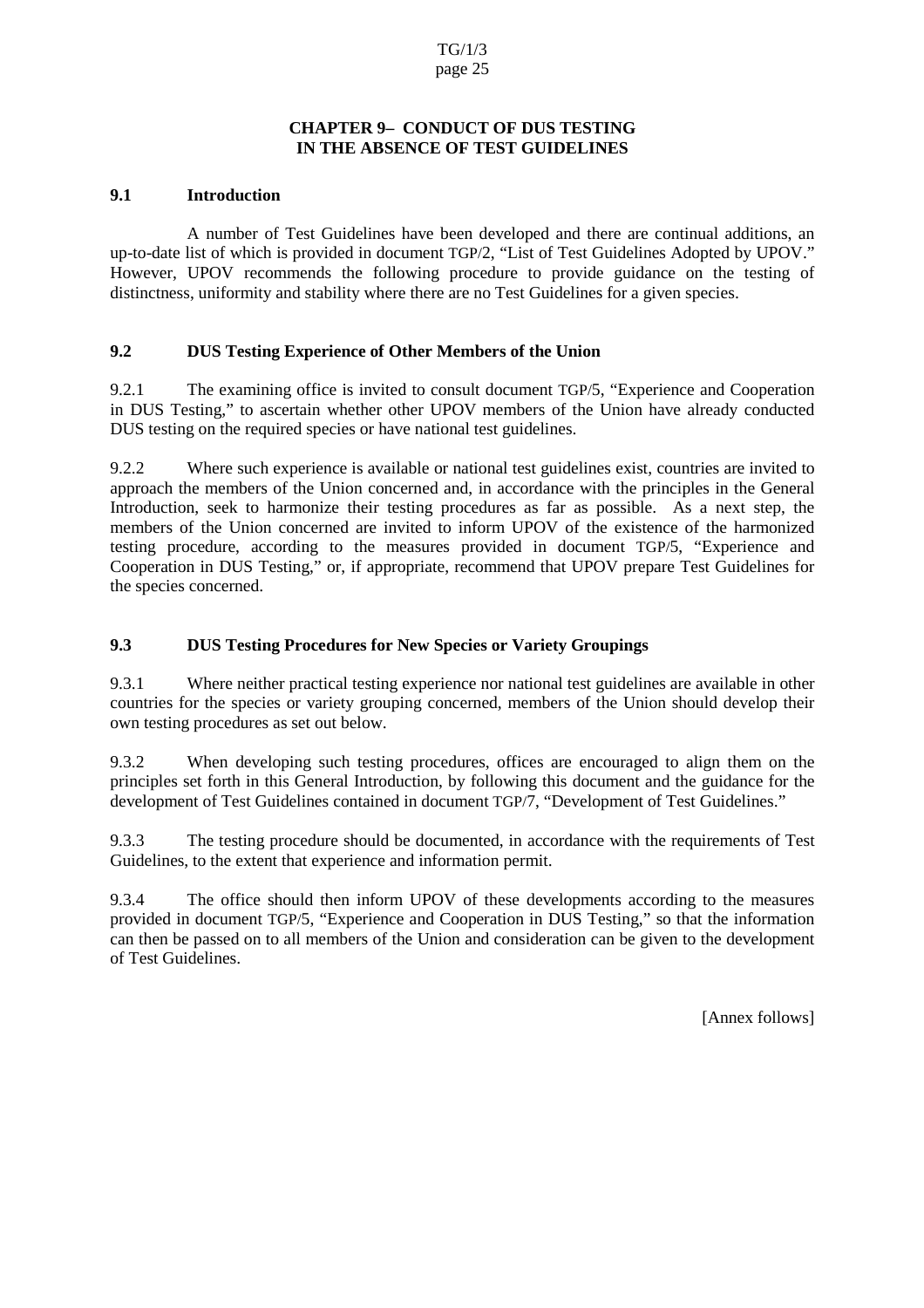### **CHAPTER9 CONDUCT OF DUSTESTING INTHEABSENCEOFTE STGUIDELINES**

### <span id="page-24-0"></span>**9.1 Introduction**

A number of Test Guidelines have been developed and there ar e continual additions, an up-to-date list of which is provided indocument TGP/2, "List of Test Guidelines Adopted by UPOV." However, UPOV recommends the following procedure to provide guidance on the testing of distinctness, uniformity and stability wher ethere are no Test Guidelines for a given species.

# **9.2 DUS Testing Experience of Other Members of the Union**

9.2.1 The examining office is invited to consult document TGP/5, "Experience and Cooperation in DUS Testing," to ascertain whether other UPOV mem bers of the Union have already conducted DUS testing on the required species or have national test guidelines.

9.2.2 Where such experience is available or national test guidelines exist, countries are invited to approach the members of the Union concerned and, in accordance with the principles in the General Introduction, seek to harmonize their testing procedures as far as possible. As a next step, the members of the Union concerned are invited to inform UPOV of the existence of the harmonized testing pr ocedure, according to the measures provided in document TGP/5, "Experience and Cooperation in DUS Testing," or, if appropriate, recommend that UPOV prepare Test Guidelines for the species concerned.

# **9.3 DUS Testing Procedures for New Species or Variety G roupings**

9.3.1 Where neither practical testing experience normational test guidelines are available in other countries for the species or variety grouping concerned, members of the Union should develop their own testing procedures as set out below.

9.3.2 When developing such testing procedures, offices are encouraged to align them on the principles set forth in this General Introduction, by following this document and the guidance for the development of Test Guidelines contained indocument TGP/7, "Devel opment of Test Guidelines."

9.3.3 The testing procedure should be documented, in accordance with the requirements of Test Guidelines, to the extent that experience and information permit.

9.3.4 The office should then inform UPOV of these developments acc ording to the measures provided in document TGP/5, "Experience and Cooperation in DUS Testing," so that the information can then be passed on to all members of the Union and consideration can be given to the development of Test Guidelines.

[Annex follows ]